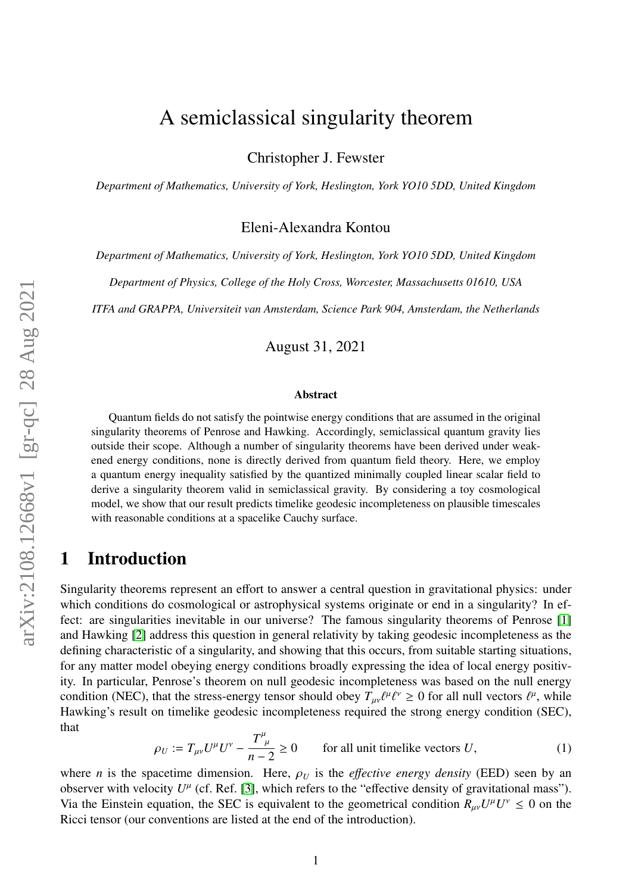# A semiclassical singularity theorem

Christopher J. Fewster

*Department of Mathematics, University of York, Heslington, York YO10 5DD, United Kingdom*

Eleni-Alexandra Kontou

*Department of Mathematics, University of York, Heslington, York YO10 5DD, United Kingdom*

*Department of Physics, College of the Holy Cross, Worcester, Massachusetts 01610, USA*

*ITFA and GRAPPA, Universiteit van Amsterdam, Science Park 904, Amsterdam, the Netherlands*

August 31, 2021

#### Abstract

Quantum fields do not satisfy the pointwise energy conditions that are assumed in the original singularity theorems of Penrose and Hawking. Accordingly, semiclassical quantum gravity lies outside their scope. Although a number of singularity theorems have been derived under weakened energy conditions, none is directly derived from quantum field theory. Here, we employ a quantum energy inequality satisfied by the quantized minimally coupled linear scalar field to derive a singularity theorem valid in semiclassical gravity. By considering a toy cosmological model, we show that our result predicts timelike geodesic incompleteness on plausible timescales with reasonable conditions at a spacelike Cauchy surface.

#### 1 Introduction

Singularity theorems represent an effort to answer a central question in gravitational physics: under which conditions do cosmological or astrophysical systems originate or end in a singularity? In effect: are singularities inevitable in our universe? The famous singularity theorems of Penrose [\[1\]](#page-25-0) and Hawking [\[2\]](#page-25-1) address this question in general relativity by taking geodesic incompleteness as the defining characteristic of a singularity, and showing that this occurs, from suitable starting situations, for any matter model obeying energy conditions broadly expressing the idea of local energy positivity. In particular, Penrose's theorem on null geodesic incompleteness was based on the null energy condition (NEC), that the stress-energy tensor should obey  $T_{\mu\nu} \ell^{\mu} \ell^{\nu} \ge 0$  for all null vectors  $\ell^{\mu}$ , while<br>Hawking's result on timelike geodesic incompleteness required the strong energy condition (SEC) Hawking's result on timelike geodesic incompleteness required the strong energy condition (SEC), that

$$
\rho_U := T_{\mu\nu} U^{\mu} U^{\nu} - \frac{T^{\mu}_{\ \mu}}{n-2} \ge 0 \qquad \text{for all unit timelike vectors } U,
$$
 (1)

<span id="page-0-0"></span>where *n* is the spacetime dimension. Here,  $\rho_U$  is the *effective energy density* (EED) seen by an observer with velocity  $U^{\mu}$  (cf. Ref. [\[3\]](#page-25-2), which refers to the "effective density of gravitational mass"). Via the Einstein equation, the SEC is equivalent to the geometrical condition  $R_{\mu\nu}U^{\mu}U^{\nu} \leq 0$  on the <br>Disclared four conventions are listed at the and of the introduction) Ricci tensor (our conventions are listed at the end of the introduction).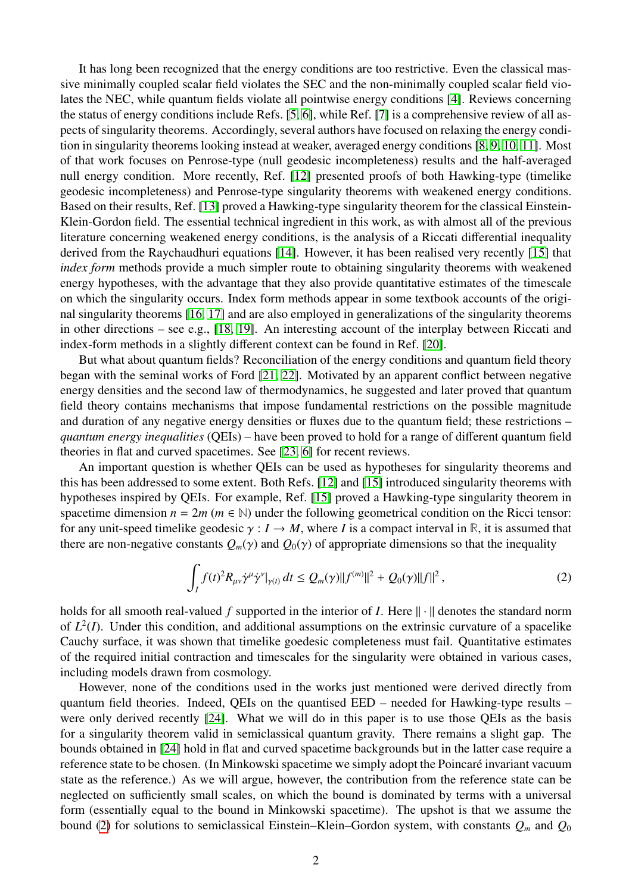It has long been recognized that the energy conditions are too restrictive. Even the classical massive minimally coupled scalar field violates the SEC and the non-minimally coupled scalar field violates the NEC, while quantum fields violate all pointwise energy conditions [\[4\]](#page-25-3). Reviews concerning the status of energy conditions include Refs. [\[5,](#page-25-4) [6\]](#page-25-5), while Ref. [\[7\]](#page-25-6) is a comprehensive review of all aspects of singularity theorems. Accordingly, several authors have focused on relaxing the energy condition in singularity theorems looking instead at weaker, averaged energy conditions [\[8,](#page-25-7) [9,](#page-25-8) [10,](#page-25-9) [11\]](#page-25-10). Most of that work focuses on Penrose-type (null geodesic incompleteness) results and the half-averaged null energy condition. More recently, Ref. [\[12\]](#page-25-11) presented proofs of both Hawking-type (timelike geodesic incompleteness) and Penrose-type singularity theorems with weakened energy conditions. Based on their results, Ref. [\[13\]](#page-25-12) proved a Hawking-type singularity theorem for the classical Einstein-Klein-Gordon field. The essential technical ingredient in this work, as with almost all of the previous literature concerning weakened energy conditions, is the analysis of a Riccati differential inequality derived from the Raychaudhuri equations [\[14\]](#page-25-13). However, it has been realised very recently [\[15\]](#page-25-14) that *index form* methods provide a much simpler route to obtaining singularity theorems with weakened energy hypotheses, with the advantage that they also provide quantitative estimates of the timescale on which the singularity occurs. Index form methods appear in some textbook accounts of the original singularity theorems [\[16,](#page-25-15) [17\]](#page-25-16) and are also employed in generalizations of the singularity theorems in other directions – see e.g., [\[18,](#page-25-17) [19\]](#page-26-0). An interesting account of the interplay between Riccati and index-form methods in a slightly different context can be found in Ref. [\[20\]](#page-26-1).

But what about quantum fields? Reconciliation of the energy conditions and quantum field theory began with the seminal works of Ford [\[21,](#page-26-2) [22\]](#page-26-3). Motivated by an apparent conflict between negative energy densities and the second law of thermodynamics, he suggested and later proved that quantum field theory contains mechanisms that impose fundamental restrictions on the possible magnitude and duration of any negative energy densities or fluxes due to the quantum field; these restrictions – *quantum energy inequalities* (QEIs) – have been proved to hold for a range of different quantum field theories in flat and curved spacetimes. See [\[23,](#page-26-4) [6\]](#page-25-5) for recent reviews.

An important question is whether QEIs can be used as hypotheses for singularity theorems and this has been addressed to some extent. Both Refs. [\[12\]](#page-25-11) and [\[15\]](#page-25-14) introduced singularity theorems with hypotheses inspired by QEIs. For example, Ref. [\[15\]](#page-25-14) proved a Hawking-type singularity theorem in spacetime dimension  $n = 2m$  ( $m \in \mathbb{N}$ ) under the following geometrical condition on the Ricci tensor: for any unit-speed timelike geodesic  $\gamma : I \to M$ , where *I* is a compact interval in R, it is assumed that there are non-negative constants  $Q_m(\gamma)$  and  $Q_0(\gamma)$  of appropriate dimensions so that the inequality

<span id="page-1-0"></span>
$$
\int_{I} f(t)^{2} R_{\mu\nu} \dot{\gamma}^{\mu} \dot{\gamma}^{\nu} |_{\gamma(t)} dt \leq Q_{m}(\gamma) ||f^{(m)}||^{2} + Q_{0}(\gamma) ||f||^{2}, \qquad (2)
$$

holds for all smooth real-valued  $f$  supported in the interior of  $I$ . Here  $\|\cdot\|$  denotes the standard norm of  $L^2(I)$ . Under this condition, and additional assumptions on the extrinsic curvature of a spacelike Cauchy surface, it was shown that timelike goedesic completeness must fail. Quantitative estimates of the required initial contraction and timescales for the singularity were obtained in various cases, including models drawn from cosmology.

However, none of the conditions used in the works just mentioned were derived directly from quantum field theories. Indeed, QEIs on the quantised EED – needed for Hawking-type results – were only derived recently [\[24\]](#page-26-5). What we will do in this paper is to use those QEIs as the basis for a singularity theorem valid in semiclassical quantum gravity. There remains a slight gap. The bounds obtained in [\[24\]](#page-26-5) hold in flat and curved spacetime backgrounds but in the latter case require a reference state to be chosen. (In Minkowski spacetime we simply adopt the Poincaré invariant vacuum state as the reference.) As we will argue, however, the contribution from the reference state can be neglected on sufficiently small scales, on which the bound is dominated by terms with a universal form (essentially equal to the bound in Minkowski spacetime). The upshot is that we assume the bound [\(2\)](#page-1-0) for solutions to semiclassical Einstein–Klein–Gordon system, with constants *Q<sup>m</sup>* and *Q*<sup>0</sup>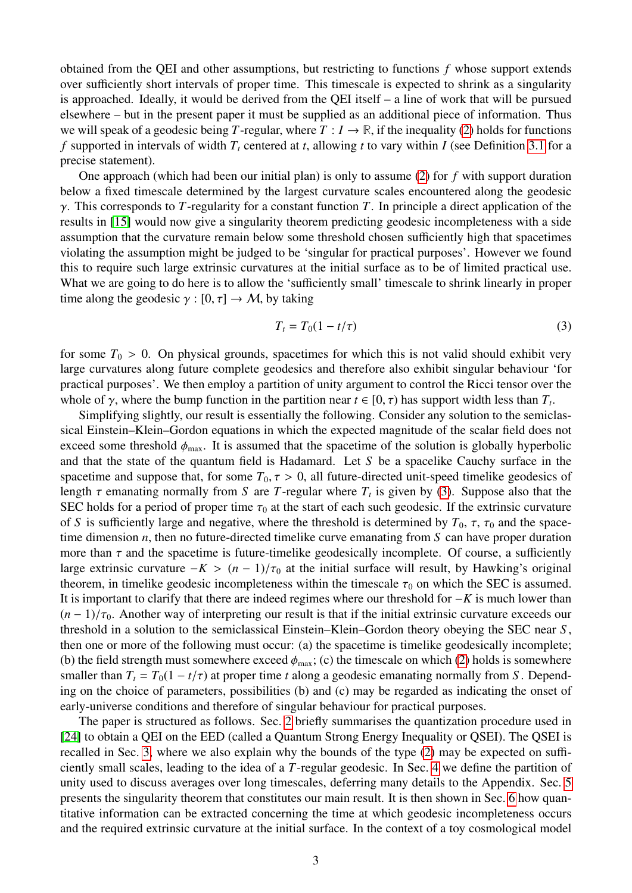obtained from the QEI and other assumptions, but restricting to functions *f* whose support extends over sufficiently short intervals of proper time. This timescale is expected to shrink as a singularity is approached. Ideally, it would be derived from the QEI itself – a line of work that will be pursued elsewhere – but in the present paper it must be supplied as an additional piece of information. Thus we will speak of a geodesic being *T*-regular, where  $T : I \to \mathbb{R}$ , if the inequality [\(2\)](#page-1-0) holds for functions *f* supported in intervals of width *T<sup>t</sup>* centered at *t*, allowing *t* to vary within *I* (see Definition [3.1](#page-8-0) for a precise statement).

One approach (which had been our initial plan) is only to assume [\(2\)](#page-1-0) for *f* with support duration below a fixed timescale determined by the largest curvature scales encountered along the geodesic γ. This corresponds to *<sup>T</sup>*-regularity for a constant function *<sup>T</sup>*. In principle a direct application of the results in [\[15\]](#page-25-14) would now give a singularity theorem predicting geodesic incompleteness with a side assumption that the curvature remain below some threshold chosen sufficiently high that spacetimes violating the assumption might be judged to be 'singular for practical purposes'. However we found this to require such large extrinsic curvatures at the initial surface as to be of limited practical use. What we are going to do here is to allow the 'sufficiently small' timescale to shrink linearly in proper time along the geodesic  $\gamma : [0, \tau] \to M$ , by taking

<span id="page-2-0"></span>
$$
T_t = T_0(1 - t/\tau) \tag{3}
$$

for some  $T_0 > 0$ . On physical grounds, spacetimes for which this is not valid should exhibit very large curvatures along future complete geodesics and therefore also exhibit singular behaviour 'for practical purposes'. We then employ a partition of unity argument to control the Ricci tensor over the whole of  $\gamma$ , where the bump function in the partition near  $t \in [0, \tau)$  has support width less than  $T_t$ .<br>Simplifying slightly our result is essentially the following. Consider any solution to the semicle

Simplifying slightly, our result is essentially the following. Consider any solution to the semiclassical Einstein–Klein–Gordon equations in which the expected magnitude of the scalar field does not exceed some threshold  $\phi_{\text{max}}$ . It is assumed that the spacetime of the solution is globally hyperbolic and that the state of the quantum field is Hadamard. Let *S* be a spacelike Cauchy surface in the spacetime and suppose that, for some  $T_0$ ,  $\tau > 0$ , all future-directed unit-speed timelike geodesics of length  $\tau$  emanating normally from *S* are *T*-regular where  $T_t$  is given by [\(3\)](#page-2-0). Suppose also that the SEC holds for a period of proper time  $\tau_2$  at the start of each such geodesic. If the extrinsic curvature SEC holds for a period of proper time  $\tau_0$  at the start of each such geodesic. If the extrinsic curvature of *S* is sufficiently large and negative, where the threshold is determined by  $T_0$ ,  $\tau$ ,  $\tau_0$  and the spacetime dimension *n*, then no future-directed timelike curve emanating from *S* can have proper duration more than  $\tau$  and the spacetime is future-timelike geodesically incomplete. Of course, a sufficiently large extrinsic curvature  $-K > (n-1)/\tau_0$  at the initial surface will result, by Hawking's original theorem, in timelike geodesic incompleteness within the timescale  $\tau_0$  on which the SEC is assumed. It is important to clarify that there are indeed regimes where our threshold for −*K* is much lower than  $(n-1)/\tau_0$ . Another way of interpreting our result is that if the initial extrinsic curvature exceeds our threshold in a solution to the semiclassical Einstein–Klein–Gordon theory obeying the SEC near *S* , then one or more of the following must occur: (a) the spacetime is timelike geodesically incomplete; (b) the field strength must somewhere exceed  $\phi_{\text{max}}$ ; (c) the timescale on which [\(2\)](#page-1-0) holds is somewhere smaller than  $T_t = T_0(1 - t/\tau)$  at proper time *t* along a geodesic emanating normally from *S*. Depending on the choice of parameters, possibilities (b) and (c) may be regarded as indicating the onset of early-universe conditions and therefore of singular behaviour for practical purposes.

The paper is structured as follows. Sec. [2](#page-3-0) briefly summarises the quantization procedure used in [\[24\]](#page-26-5) to obtain a QEI on the EED (called a Quantum Strong Energy Inequality or QSEI). The QSEI is recalled in Sec. [3,](#page-6-0) where we also explain why the bounds of the type [\(2\)](#page-1-0) may be expected on sufficiently small scales, leading to the idea of a *T*-regular geodesic. In Sec. [4](#page-8-1) we define the partition of unity used to discuss averages over long timescales, deferring many details to the Appendix. Sec. [5](#page-11-0) presents the singularity theorem that constitutes our main result. It is then shown in Sec. [6](#page-14-0) how quantitative information can be extracted concerning the time at which geodesic incompleteness occurs and the required extrinsic curvature at the initial surface. In the context of a toy cosmological model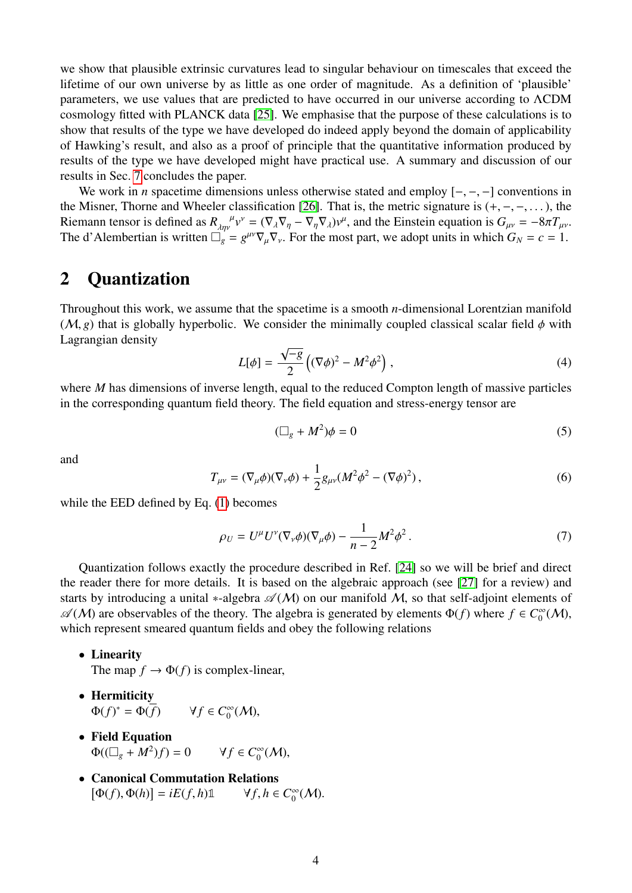we show that plausible extrinsic curvatures lead to singular behaviour on timescales that exceed the lifetime of our own universe by as little as one order of magnitude. As a definition of 'plausible' parameters, we use values that are predicted to have occurred in our universe according to ΛCDM cosmology fitted with PLANCK data [\[25\]](#page-26-6). We emphasise that the purpose of these calculations is to show that results of the type we have developed do indeed apply beyond the domain of applicability of Hawking's result, and also as a proof of principle that the quantitative information produced by results of the type we have developed might have practical use. A summary and discussion of our results in Sec. [7](#page-17-0) concludes the paper.

We work in *n* spacetime dimensions unless otherwise stated and employ [−, −, −] conventions in the Misner, Thorne and Wheeler classification [\[26\]](#page-26-7). That is, the metric signature is  $(+, -, -, \ldots)$ , the Riemann tensor is defined as  $R_{\lambda\eta\nu}^{\mu}v^{\nu} = (\nabla_{\lambda}\nabla_{\eta} - \nabla_{\eta}\nabla_{\lambda})v^{\mu}$ , and the Einstein equation is  $G_{\mu\nu} = -8\pi T_{\mu\nu}$ .<br>The d'Alembertian is written  $\Box - \frac{\partial^{\mu\nu}\nabla}{\partial \nu} \nabla$ . For the most part, we The d'Alembertian is written  $\Box_g = g^{\mu\nu} \nabla_\mu \nabla_\nu$ . For the most part, we adopt units in which  $G_N = c = 1$ .

### <span id="page-3-0"></span>2 Quantization

Throughout this work, we assume that the spacetime is a smooth *n*-dimensional Lorentzian manifold  $(M, g)$  that is globally hyperbolic. We consider the minimally coupled classical scalar field  $\phi$  with Lagrangian density √

$$
L[\phi] = \frac{\sqrt{-g}}{2} \left( (\nabla \phi)^2 - M^2 \phi^2 \right),\tag{4}
$$

where *M* has dimensions of inverse length, equal to the reduced Compton length of massive particles in the corresponding quantum field theory. The field equation and stress-energy tensor are

$$
(\Box_g + M^2)\phi = 0 \tag{5}
$$

and

$$
T_{\mu\nu} = (\nabla_{\mu}\phi)(\nabla_{\nu}\phi) + \frac{1}{2}g_{\mu\nu}(M^2\phi^2 - (\nabla\phi)^2),
$$
 (6)

while the EED defined by Eq. [\(1\)](#page-0-0) becomes

$$
\rho_U = U^{\mu} U^{\nu} (\nabla_{\nu} \phi) (\nabla_{\mu} \phi) - \frac{1}{n-2} M^2 \phi^2.
$$
\n(7)

Quantization follows exactly the procedure described in Ref. [\[24\]](#page-26-5) so we will be brief and direct the reader there for more details. It is based on the algebraic approach (see [\[27\]](#page-26-8) for a review) and starts by introducing a unital ∗-algebra  $\mathscr{A}(M)$  on our manifold M, so that self-adjoint elements of  $\mathscr{A}(M)$  are observables of the theory. The algebra is generated by elements  $\Phi(f)$  where  $f \in C_0^{\infty}$  $\int_0^\infty (\mathcal{M}),$ which represent smeared quantum fields and obey the following relations

• Linearity

The map  $f \to \Phi(f)$  is complex-linear,

- Hermiticity  $\Phi(f)^* = \Phi(\overline{f}) \qquad \forall f \in C_0^{\infty}$  $_0^{\infty}(\mathcal{M}),$
- Field Equation  $\Phi((\Box_g + M^2)f) = 0$   $\forall f \in C_0^{\infty}$  $_0^{\infty}$ (M),
- Canonical Commutation Relations  $[\Phi(f), \Phi(h)] = iE(f, h)\mathbb{1} \qquad \forall f, h \in C$ ∞  $\int_0^\infty (\mathcal{M}).$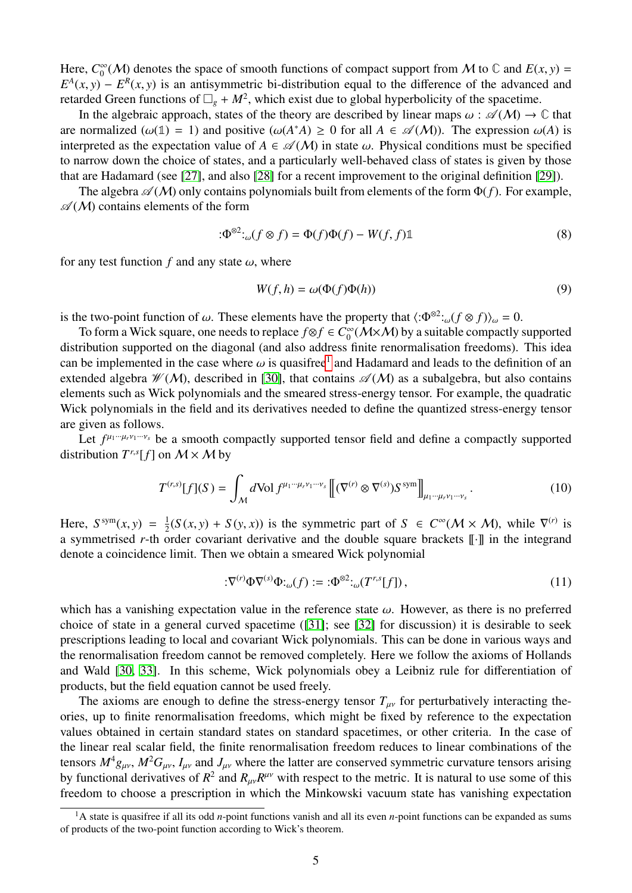Here, *C* ∞  $\int_{0}^{\infty} (M)$  denotes the space of smooth functions of compact support from M to  $\mathbb{C}$  and  $E(x, y) = E^{R}(x, y)$  is an antisymmetric bi-distribution equal to the difference of the advanced and  $E^A(x, y) - E^R(x, y)$  is an antisymmetric bi-distribution equal to the difference of the advanced and retarded Green functions of  $\Box + M^2$  which exist due to global hyperbolicity of the spacetime retarded Green functions of  $\Box_g + M^2$ , which exist due to global hyperbolicity of the spacetime.

In the algebraic approach, states of the theory are described by linear maps  $\omega : \mathscr{A}(\mathcal{M}) \to \mathbb{C}$  that are normalized ( $\omega(1) = 1$ ) and positive ( $\omega(A^*A) \ge 0$  for all  $A \in \mathcal{A}(M)$ ). The expression  $\omega(A)$  is interpreted as the expectation value of  $A \in \mathcal{A}(M)$  in state  $\omega$ . Physical conditions must be specified interpreted as the expectation value of  $A \in \mathscr{A}(M)$  in state  $\omega$ . Physical conditions must be specified to narrow down the choice of states, and a particularly well-behaved class of states is given by those that are Hadamard (see [\[27\]](#page-26-8), and also [\[28\]](#page-26-9) for a recent improvement to the original definition [\[29\]](#page-26-10)).

The algebra  $\mathscr{A}(M)$  only contains polynomials built from elements of the form  $\Phi(f)$ . For example,  $\mathscr{A}(M)$  contains elements of the form

$$
\mathfrak{D}^{\otimes 2} :_{\omega}(f \otimes f) = \Phi(f)\Phi(f) - W(f, f)\mathbb{1}
$$
\n(8)

for any test function  $f$  and any state  $\omega$ , where

$$
W(f, h) = \omega(\Phi(f)\Phi(h))\tag{9}
$$

is the two-point function of  $\omega$ . These elements have the property that  $\langle : \Phi^{\otimes 2} :_{\omega} (f \otimes f) \rangle_{\omega} = 0$ .<br>To form a Wick square, one needs to replace  $f \otimes f \in C^{\infty}(M \times M)$  by a suitable compactly

To form a Wick square, one needs to replace  $f \otimes f \in C_0^\infty$  $\int_0^\infty (\mathcal{M}\times\mathcal{M})$  by a suitable compactly supported distribution supported on the diagonal (and also address finite renormalisation freedoms). This idea can be implemented in the case where  $\omega$  is quasifree<sup>[1](#page-4-0)</sup> and Hadamard and leads to the definition of an<br>extended algebra  $\mathcal{W}(M)$  described in [30], that contains  $\mathcal{A}(M)$  as a subalgebra, but also contains extended algebra  $\mathcal{W}(M)$ , described in [\[30\]](#page-26-11), that contains  $\mathcal{A}(M)$  as a subalgebra, but also contains elements such as Wick polynomials and the smeared stress-energy tensor. For example, the quadratic Wick polynomials in the field and its derivatives needed to define the quantized stress-energy tensor are given as follows.

Let  $f^{\mu_1\cdots\mu_r\nu_1\cdots\nu_s}$  be a smooth compactly supported tensor field and define a compactly supported distribution  $T^{r,s}[f]$  on  $M \times M$  by

$$
T^{(r,s)}[f](S) = \int_M d\text{Vol } f^{\mu_1 \cdots \mu_r \nu_1 \cdots \nu_s} \left[ (\nabla^{(r)} \otimes \nabla^{(s)}) S^{\text{sym}} \right]_{\mu_1 \cdots \mu_r \nu_1 \cdots \nu_s} . \tag{10}
$$

Here,  $S^{sym}(x, y) = \frac{1}{2}$ <br>a symmetrised r-th  $\alpha$  $\frac{1}{2}(S(x, y) + S(y, x))$  is the symmetric part of  $S \in C^{\infty}(\mathcal{M} \times \mathcal{M})$ , while  $\nabla^{(r)}$  is order covariant derivative and the double square brackets [[J] in the integrand a symmetrised *r*-th order covariant derivative and the double square brackets  $\lbrack \lbrack \cdot \rbrack \rbrack$  in the integrand denote a coincidence limit. Then we obtain a smeared Wick polynomial

$$
:\nabla^{(r)}\Phi\nabla^{(s)}\Phi:_{\omega}(f):=:\Phi^{\otimes 2}:_{\omega}(T^{r,s}[f]),\tag{11}
$$

which has a vanishing expectation value in the reference state  $\omega$ . However, as there is no preferred choice of state in a general curved spacetime ([\[31\]](#page-26-12); see [\[32\]](#page-26-13) for discussion) it is desirable to seek prescriptions leading to local and covariant Wick polynomials. This can be done in various ways and the renormalisation freedom cannot be removed completely. Here we follow the axioms of Hollands and Wald [\[30,](#page-26-11) [33\]](#page-26-14). In this scheme, Wick polynomials obey a Leibniz rule for differentiation of products, but the field equation cannot be used freely.

The axioms are enough to define the stress-energy tensor  $T_{uv}$  for perturbatively interacting theories, up to finite renormalisation freedoms, which might be fixed by reference to the expectation values obtained in certain standard states on standard spacetimes, or other criteria. In the case of the linear real scalar field, the finite renormalisation freedom reduces to linear combinations of the tensors  $M^4g_{\mu\nu}$ ,  $M^2G_{\mu\nu}$ ,  $I_{\mu\nu}$  and  $J_{\mu\nu}$  where the latter are conserved symmetric curvature tensors arising by functional derivatives of  $R^2$  and  $R_{\mu\nu}R^{\mu\nu}$  with respect to the metric. It is natural to use some of this freedom to choose a prescription in which the Minkowski vacuum state has vanishing expectation

<span id="page-4-0"></span><sup>1</sup>A state is quasifree if all its odd *n*-point functions vanish and all its even *n*-point functions can be expanded as sums of products of the two-point function according to Wick's theorem.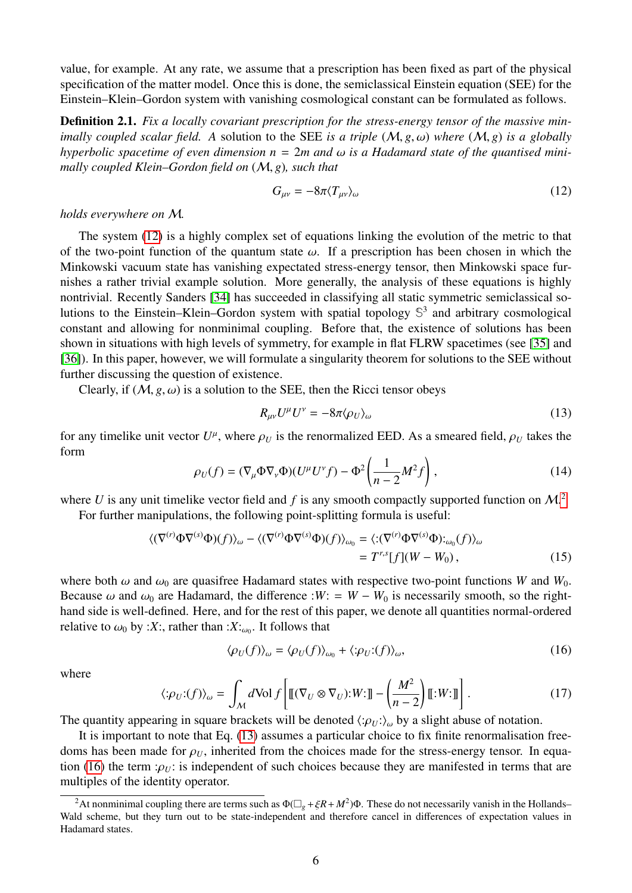value, for example. At any rate, we assume that a prescription has been fixed as part of the physical specification of the matter model. Once this is done, the semiclassical Einstein equation (SEE) for the Einstein–Klein–Gordon system with vanishing cosmological constant can be formulated as follows.

<span id="page-5-4"></span>Definition 2.1. *Fix a locally covariant prescription for the stress-energy tensor of the massive minimally coupled scalar field. A* solution to the SEE *is a triple* (M, *<sup>g</sup>*, ω) *where* (M, *<sup>g</sup>*) *is a globally hyperbolic spacetime of even dimension n* <sup>=</sup> <sup>2</sup>*m and* ω *is a Hadamard state of the quantised minimally coupled Klein–Gordon field on* (M, *<sup>g</sup>*)*, such that*

<span id="page-5-0"></span>
$$
G_{\mu\nu} = -8\pi \langle T_{\mu\nu} \rangle_{\omega} \tag{12}
$$

*holds everywhere on* M*.*

The system [\(12\)](#page-5-0) is a highly complex set of equations linking the evolution of the metric to that of the two-point function of the quantum state  $\omega$ . If a prescription has been chosen in which the Minkowski vacuum state has vanishing expectated stress-energy tensor, then Minkowski space furnishes a rather trivial example solution. More generally, the analysis of these equations is highly nontrivial. Recently Sanders [\[34\]](#page-26-15) has succeeded in classifying all static symmetric semiclassical solutions to the Einstein–Klein–Gordon system with spatial topology **S** 3 and arbitrary cosmological constant and allowing for nonminimal coupling. Before that, the existence of solutions has been shown in situations with high levels of symmetry, for example in flat FLRW spacetimes (see [\[35\]](#page-27-0) and [\[36\]](#page-27-1)). In this paper, however, we will formulate a singularity theorem for solutions to the SEE without further discussing the question of existence.

Clearly, if  $(M, g, \omega)$  is a solution to the SEE, then the Ricci tensor obeys

<span id="page-5-2"></span>
$$
R_{\mu\nu}U^{\mu}U^{\nu} = -8\pi \langle \rho_U \rangle_{\omega} \tag{13}
$$

for any timelike unit vector  $U^{\mu}$ , where  $\rho_U$  is the renormalized EED. As a smeared field,  $\rho_U$  takes the form form

$$
\rho_U(f) = (\nabla_\mu \Phi \nabla_\nu \Phi)(U^\mu U^\nu f) - \Phi^2 \left(\frac{1}{n-2} M^2 f\right),\tag{14}
$$

where U is any unit timelike vector field and  $f$  is any smooth compactly supported function on  $\mathcal{M}$ <sup>[2](#page-5-1)</sup> For further manipulations, the following point-splitting formula is useful:

$$
\langle (\nabla^{(r)} \Phi \nabla^{(s)} \Phi)(f) \rangle_{\omega} - \langle (\nabla^{(r)} \Phi \nabla^{(s)} \Phi)(f) \rangle_{\omega_0} = \langle : (\nabla^{(r)} \Phi \nabla^{(s)} \Phi) :_{\omega_0}(f) \rangle_{\omega}
$$
  
=  $T^{r,s}[f](W - W_0),$  (15)

where both  $\omega$  and  $\omega_0$  are quasifree Hadamard states with respective two-point functions *W* and *W*<sub>0</sub>. Because  $\omega$  and  $\omega_0$  are Hadamard, the difference :*W*: = *W* − *W*<sub>0</sub> is necessarily smooth, so the righthand side is well-defined. Here, and for the rest of this paper, we denote all quantities normal-ordered relative to  $\omega_0$  by :*X*:, rather than :*X*:<sub> $\omega_0$ </sub>. It follows that

<span id="page-5-3"></span>
$$
\langle \rho_U(f) \rangle_{\omega} = \langle \rho_U(f) \rangle_{\omega_0} + \langle \phi_U(f) \rangle_{\omega},\tag{16}
$$

where

$$
\langle:\!\rho_U:(f)\rangle_\omega = \int_M d\text{Vol}\,f\!\left[\mathbb{I}(\nabla_U\otimes\nabla_U):W:\mathbb{J}\!]-\!\left(\frac{M^2}{n-2}\right)\mathbb{I}:W:\mathbb{J}\!\right].\tag{17}
$$

The quantity appearing in square brackets will be denoted  $\langle:\rho_U:\rangle_\omega$  by a slight abuse of notation.

It is important to note that Eq. [\(13\)](#page-5-2) assumes a particular choice to fix finite renormalisation freedoms has been made for  $\rho_U$ , inherited from the choices made for the stress-energy tensor. In equa-tion [\(16\)](#page-5-3) the term : $\rho_U$ : is independent of such choices because they are manifested in terms that are multiples of the identity operator.

<span id="page-5-1"></span><sup>&</sup>lt;sup>2</sup>At nonminimal coupling there are terms such as  $\Phi(\Box_g + \xi R + M^2)\Phi$ . These do not necessarily vanish in the Hollands– Wald scheme, but they turn out to be state-independent and therefore cancel in differences of expectation values in Hadamard states.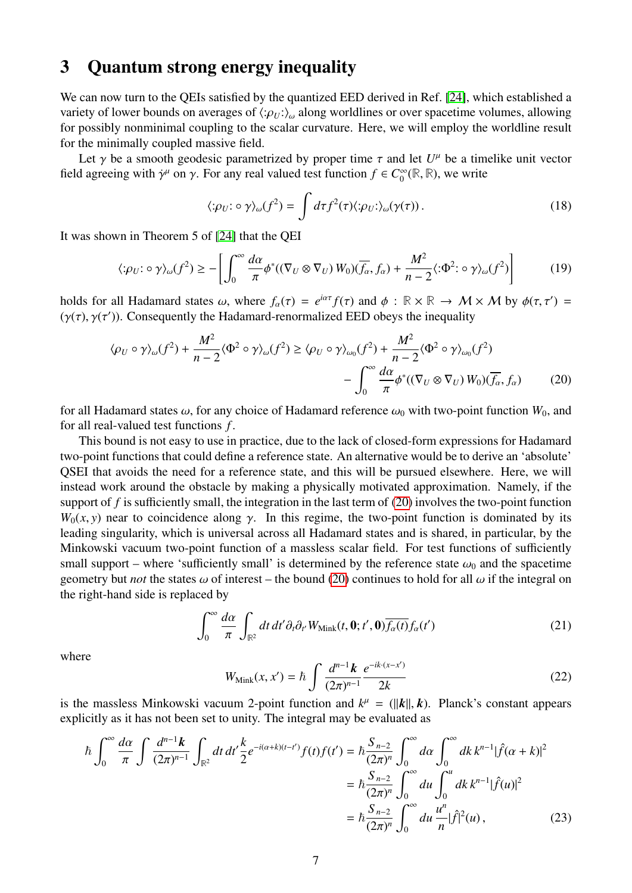## <span id="page-6-0"></span>3 Quantum strong energy inequality

We can now turn to the QEIs satisfied by the quantized EED derived in Ref. [\[24\]](#page-26-5), which established a variety of lower bounds on averages of  $\langle : \rho_U : \rangle_\omega$  along worldlines or over spacetime volumes, allowing for possibly nonminimal coupling to the scalar curvature. Here, we will employ the worldline result for the minimally coupled massive field.

Let  $\gamma$  be a smooth geodesic parametrized by proper time  $\tau$  and let  $U^{\mu}$  be a timelike unit vector degree in with  $\dot{\gamma}^{\mu}$  on  $\gamma$ . For any real valued test function  $f \in C^{\infty}(\mathbb{R}, \mathbb{R})$ , we write field agreeing with  $\dot{\gamma}^{\mu}$  on  $\gamma$ . For any real valued test function  $f \in C_0^{\infty}$  $\int_0^\infty (\mathbb{R}, \mathbb{R})$ , we write

<span id="page-6-1"></span>
$$
\langle \phi_U : \circ \gamma \rangle_{\omega}(f^2) = \int d\tau f^2(\tau) \langle \phi_U : \rangle_{\omega}(\gamma(\tau)). \tag{18}
$$

It was shown in Theorem 5 of [\[24\]](#page-26-5) that the QEI

$$
\langle:\rho_U:\circ\gamma\rangle_{\omega}(f^2)\geq -\left[\int_0^\infty\frac{d\alpha}{\pi}\phi^*((\nabla_U\otimes\nabla_U)\,W_0)(\overline{f_\alpha},f_\alpha)+\frac{M^2}{n-2}\langle:\Phi^2:\circ\gamma\rangle_{\omega}(f^2)\right] \tag{19}
$$

holds for all Hadamard states  $\omega$ , where  $f_{\alpha}(\tau) = e^{i\alpha \tau} f(\tau)$  and  $\phi : \mathbb{R} \times \mathbb{R} \to M \times M$  by  $\phi(\tau, \tau') =$ <br>( $\gamma(\tau)$ ) Consequently the Hadamard-renormalized FED obeys the inequality ( $\gamma(\tau)$ ,  $\gamma(\tau')$ ). Consequently the Hadamard-renormalized EED obeys the inequality

$$
\langle \rho_U \circ \gamma \rangle_{\omega}(f^2) + \frac{M^2}{n-2} \langle \Phi^2 \circ \gamma \rangle_{\omega}(f^2) \ge \langle \rho_U \circ \gamma \rangle_{\omega_0}(f^2) + \frac{M^2}{n-2} \langle \Phi^2 \circ \gamma \rangle_{\omega_0}(f^2) - \int_0^\infty \frac{d\alpha}{\pi} \phi^*( (\nabla_U \otimes \nabla_U) W_0)(\overline{f_\alpha}, f_\alpha) \tag{20}
$$

for all Hadamard states  $\omega$ , for any choice of Hadamard reference  $\omega_0$  with two-point function  $W_0$ , and for all real-valued test functions *f* .

This bound is not easy to use in practice, due to the lack of closed-form expressions for Hadamard two-point functions that could define a reference state. An alternative would be to derive an 'absolute' QSEI that avoids the need for a reference state, and this will be pursued elsewhere. Here, we will instead work around the obstacle by making a physically motivated approximation. Namely, if the support of f is sufficiently small, the integration in the last term of [\(20\)](#page-6-1) involves the two-point function  $W_0(x, y)$  near to coincidence along  $\gamma$ . In this regime, the two-point function is dominated by its leading singularity, which is universal across all Hadamard states and is shared, in particular, by the Minkowski vacuum two-point function of a massless scalar field. For test functions of sufficiently small support – where 'sufficiently small' is determined by the reference state  $\omega_0$  and the spacetime geometry but *not* the states  $\omega$  of interest – the bound [\(20\)](#page-6-1) continues to hold for all  $\omega$  if the integral on the right-hand side is replaced by

$$
\int_0^\infty \frac{d\alpha}{\pi} \int_{\mathbb{R}^2} dt \, dt' \partial_t \partial_{t'} W_{\text{Mink}}(t, \mathbf{0}; t', \mathbf{0}) \overline{f_\alpha(t)} f_\alpha(t')
$$
(21)

where

$$
W_{\text{Mink}}(x, x') = \hbar \int \frac{d^{n-1}k}{(2\pi)^{n-1}} \frac{e^{-ik \cdot (x - x')}}{2k} \tag{22}
$$

is the massless Minkowski vacuum 2-point function and  $k^{\mu} = (\|\mathbf{k}\|, \mathbf{k})$ . Planck's constant appears<br>explicitly as it has not been set to unity. The integral may be evaluated as explicitly as it has not been set to unity. The integral may be evaluated as

$$
\hbar \int_0^\infty \frac{d\alpha}{\pi} \int \frac{d^{n-1}k}{(2\pi)^{n-1}} \int_{\mathbb{R}^2} dt \, dt' \frac{k}{2} e^{-i(\alpha+k)(t-t')} f(t) f(t') = \hbar \frac{S_{n-2}}{(2\pi)^n} \int_0^\infty d\alpha \int_0^\infty dk \, k^{n-1} |\hat{f}(\alpha+k)|^2
$$

$$
= \hbar \frac{S_{n-2}}{(2\pi)^n} \int_0^\infty du \int_0^u dk \, k^{n-1} |\hat{f}(u)|^2
$$

$$
= \hbar \frac{S_{n-2}}{(2\pi)^n} \int_0^\infty du \, \frac{u^n}{n} |\hat{f}|^2(u), \tag{23}
$$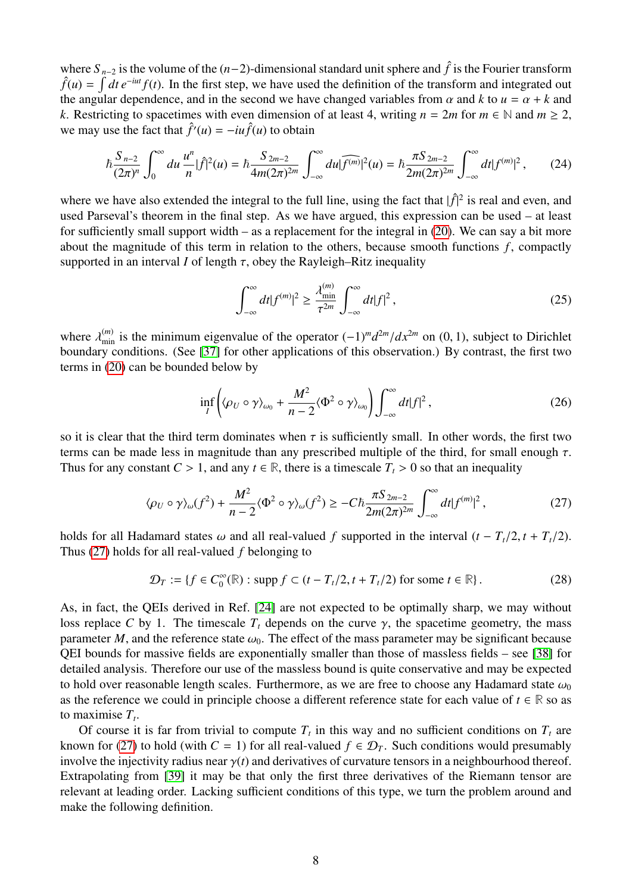where  $S_{n-2}$  is the volume of the  $(n-2)$ -dimensional standard unit sphere and  $\hat{f}$  is the Fourier transform  $\hat{f}(u) = \int dt e^{-iut} f(t)$ . In the first step, we have used the definition of the transform and integrated out the angular dependence, and in the second we have changed variables from  $\alpha$  and  $k$  to  $u = \alpha + k$  and *k*. Restricting to spacetimes with even dimension of at least 4, writing  $n = 2m$  for  $m \in \mathbb{N}$  and  $m \ge 2$ , we may use the fact that  $\hat{f}'(u) = -iu\hat{f}(u)$  to obtain

$$
\hbar \frac{S_{n-2}}{(2\pi)^n} \int_0^\infty du \, \frac{u^n}{n} |\hat{f}|^2(u) = \hbar \frac{S_{2m-2}}{4m(2\pi)^{2m}} \int_{-\infty}^\infty du |\widehat{f^{(m)}}|^2(u) = \hbar \frac{\pi S_{2m-2}}{2m(2\pi)^{2m}} \int_{-\infty}^\infty dt |f^{(m)}|^2, \qquad (24)
$$

where we have also extended the integral to the full line, using the fact that  $|\hat{f}|^2$  is real and even, and used Parseval's theorem in the final step. As we have argued, this expression can be used – at least for sufficiently small support width – as a replacement for the integral in [\(20\)](#page-6-1). We can say a bit more about the magnitude of this term in relation to the others, because smooth functions *f* , compactly supported in an interval *I* of length  $\tau$ , obey the Rayleigh–Ritz inequality

$$
\int_{-\infty}^{\infty} dt |f^{(m)}|^2 \ge \frac{\lambda_{\min}^{(m)}}{\tau^{2m}} \int_{-\infty}^{\infty} dt |f|^2,
$$
\n(25)

where  $\lambda_{\min}^{(m)}$  is the minimum eigenvalue of the operator  $(-1)^m d^{2m}/dx^{2m}$  on  $(0, 1)$ , subject to Dirichlet<br>boundary conditions. (See [37] for other applications of this observation). By contrast, the first two boundary conditions. (See [\[37\]](#page-27-2) for other applications of this observation.) By contrast, the first two terms in [\(20\)](#page-6-1) can be bounded below by

<span id="page-7-0"></span>
$$
\inf_{I} \left( \langle \rho_{U} \circ \gamma \rangle_{\omega_{0}} + \frac{M^{2}}{n - 2} \langle \Phi^{2} \circ \gamma \rangle_{\omega_{0}} \right) \int_{-\infty}^{\infty} dt |f|^{2}, \tag{26}
$$

so it is clear that the third term dominates when  $\tau$  is sufficiently small. In other words, the first two terms can be made less in magnitude than any prescribed multiple of the third, for small enough  $\tau$ . Thus for any constant  $C > 1$ , and any  $t \in \mathbb{R}$ , there is a timescale  $T<sub>t</sub> > 0$  so that an inequality

$$
\langle \rho_U \circ \gamma \rangle_{\omega}(f^2) + \frac{M^2}{n-2} \langle \Phi^2 \circ \gamma \rangle_{\omega}(f^2) \ge -C\hbar \frac{\pi S_{2m-2}}{2m(2\pi)^{2m}} \int_{-\infty}^{\infty} dt |f^{(m)}|^2, \tag{27}
$$

holds for all Hadamard states  $\omega$  and all real-valued *f* supported in the interval  $(t - T_t/2, t + T_t/2)$ . Thus [\(27\)](#page-7-0) holds for all real-valued *f* belonging to

$$
\mathcal{D}_T := \{ f \in C_0^{\infty}(\mathbb{R}) : \text{supp } f \subset (t - T_t/2, t + T_t/2) \text{ for some } t \in \mathbb{R} \}. \tag{28}
$$

As, in fact, the QEIs derived in Ref. [\[24\]](#page-26-5) are not expected to be optimally sharp, we may without loss replace *C* by 1. The timescale  $T_t$  depends on the curve  $\gamma$ , the spacetime geometry, the mass parameter *M*, and the reference state  $\omega_0$ . The effect of the mass parameter may be significant because QEI bounds for massive fields are exponentially smaller than those of massless fields – see [\[38\]](#page-27-3) for detailed analysis. Therefore our use of the massless bound is quite conservative and may be expected to hold over reasonable length scales. Furthermore, as we are free to choose any Hadamard state  $\omega_0$ as the reference we could in principle choose a different reference state for each value of  $t \in \mathbb{R}$  so as to maximise *T<sup>t</sup>* .

Of course it is far from trivial to compute  $T<sub>t</sub>$  in this way and no sufficient conditions on  $T<sub>t</sub>$  are known for [\(27\)](#page-7-0) to hold (with  $C = 1$ ) for all real-valued  $f \in \mathcal{D}_T$ . Such conditions would presumably involve the injectivity radius near  $\gamma(t)$  and derivatives of curvature tensors in a neighbourhood thereof. Extrapolating from [\[39\]](#page-27-4) it may be that only the first three derivatives of the Riemann tensor are relevant at leading order. Lacking sufficient conditions of this type, we turn the problem around and make the following definition.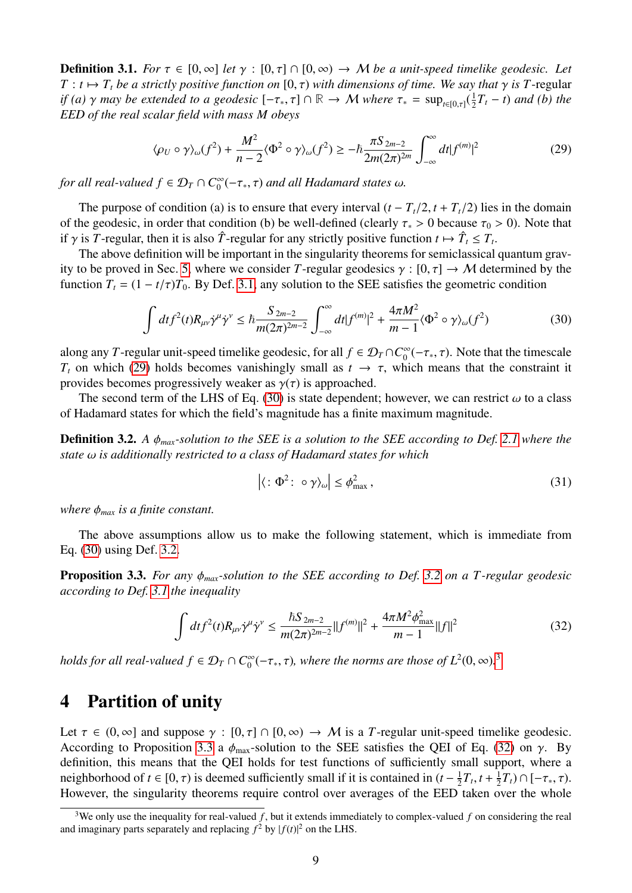<span id="page-8-0"></span>**Definition 3.1.** *For*  $\tau \in [0, \infty]$  *let*  $\gamma : [0, \tau] \cap [0, \infty) \to M$  *be a unit-speed timelike geodesic. Let*  $T : t \mapsto T_t$  *be a strictly positive function on* [0,  $\tau$ ) *with dimensions of time. We say that*  $\gamma$  *is T*-regular *if (a)*  $\gamma$  *may be extended to a geodesic*  $[-\tau_*, \tau] \cap \mathbb{R} \to M$  *where*  $\tau_* = \sup_{t \in [0,\tau]} (\frac{1}{2})$ <br>**EED** of the real scalar field with mass M obeys  $\frac{1}{2}T_t$  – *t*) and (*b*) the *EED of the real scalar field with mass M obeys*

<span id="page-8-2"></span>
$$
\langle \rho_U \circ \gamma \rangle_{\omega}(f^2) + \frac{M^2}{n-2} \langle \Phi^2 \circ \gamma \rangle_{\omega}(f^2) \ge -\hbar \frac{\pi S_{2m-2}}{2m(2\pi)^{2m}} \int_{-\infty}^{\infty} dt |f^{(m)}|^2 \tag{29}
$$

*for all real-valued*  $f \in \mathcal{D}_T \cap C_0^{\infty}$  $\int_0^\infty (-\tau_*, \tau)$  and all Hadamard states  $\omega$ .

The purpose of condition (a) is to ensure that every interval  $(t - T_t/2, t + T_t/2)$  lies in the domain of the geodesic, in order that condition (b) be well-defined (clearly  $\tau_* > 0$  because  $\tau_0 > 0$ ). Note that if  $\gamma$  is *T*-regular, then it is also  $\hat{T}$ -regular for any strictly positive function  $t \mapsto \hat{T}_t \leq T_t$ .<br>The above definition will be important in the singularity theorems for semiclassical

The above definition will be important in the singularity theorems for semiclassical quantum grav-ity to be proved in Sec. [5,](#page-11-0) where we consider *T*-regular geodesics  $\gamma : [0, \tau] \to M$  determined by the function  $T_t = (1 - t/\tau)T_0$ . By Def. [3.1,](#page-8-0) any solution to the SEE satisfies the geometric condition

$$
\int dt f^{2}(t) R_{\mu\nu} \dot{\gamma}^{\mu} \dot{\gamma}^{\nu} \leq \hbar \frac{S_{2m-2}}{m(2\pi)^{2m-2}} \int_{-\infty}^{\infty} dt |f^{(m)}|^{2} + \frac{4\pi M^{2}}{m-1} \langle \Phi^{2} \circ \gamma \rangle_{\omega}(f^{2}) \tag{30}
$$

along any *T*-regular unit-speed timelike geodesic, for all  $f \in \mathcal{D}_T \cap C_0^{\infty}$  $\int_0^\infty (-\tau_*, \tau)$ . Note that the timescale *T<sub>t</sub>* on which [\(29\)](#page-8-2) holds becomes vanishingly small as  $t \to \tau$ , which means that the constraint it provides becomes progressively weaker as  $\gamma(\tau)$  is approached.

The second term of the LHS of Eq. [\(30\)](#page-8-3) is state dependent; however, we can restrict  $\omega$  to a class of Hadamard states for which the field's magnitude has a finite maximum magnitude.

<span id="page-8-4"></span>Definition 3.2. *<sup>A</sup>* φ*max-solution to the SEE is a solution to the SEE according to Def. [2.1](#page-5-4) where the state* ω *is additionally restricted to a class of Hadamard states for which*

<span id="page-8-3"></span>
$$
\left| \langle : \Phi^2 : \circ \gamma \rangle_{\omega} \right| \le \phi_{\text{max}}^2 \,, \tag{31}
$$

*where*  $\phi_{max}$  *is a finite constant.* 

The above assumptions allow us to make the following statement, which is immediate from Eq. [\(30\)](#page-8-3) using Def. [3.2.](#page-8-4)

<span id="page-8-6"></span>Proposition 3.3. *For any* φ*max-solution to the SEE according to Def. [3.2](#page-8-4) on a T -regular geodesic according to Def. [3.1](#page-8-0) the inequality*

<span id="page-8-7"></span>
$$
\int dt f^{2}(t) R_{\mu\nu} \dot{\gamma}^{\mu} \dot{\gamma}^{\nu} \leq \frac{\hbar S_{2m-2}}{m(2\pi)^{2m-2}} ||f^{(m)}||^{2} + \frac{4\pi M^{2} \phi_{\text{max}}^{2}}{m-1} ||f||^{2}
$$
(32)

*holds for all real-valued*  $f \in \mathcal{D}_T \cap C_0^{\infty}$  $\int_0^\infty (-\tau_*, \tau)$ , where the norms are those of  $L^2(0, \infty)$ .<sup>[3](#page-8-5)</sup>

#### <span id="page-8-1"></span>4 Partition of unity

Let  $\tau \in (0, \infty]$  and suppose  $\gamma : [0, \tau] \cap [0, \infty) \to M$  is a *T*-regular unit-speed timelike geodesic. According to Proposition [3.3](#page-8-6) a  $\phi_{\text{max}}$ -solution to the SEE satisfies the QEI of Eq. [\(32\)](#page-8-7) on γ. By definition, this means that the QEI holds for test functions of sufficiently small support, where a neighborhood of  $t \in [0, \tau)$  is deemed sufficiently small if it is contained in  $(t - \frac{1}{2})$ <br>However, the singularity theorems require control over averages of the EED  $\frac{1}{2}T_t, t+\frac{1}{2}$  $\frac{1}{2}T_t$ ) ∩ [−τ<sub>\*</sub>, τ).<br> *N*er the whole However, the singularity theorems require control over averages of the EED taken over the whole

<span id="page-8-5"></span><sup>&</sup>lt;sup>3</sup>We only use the inequality for real-valued  $f$ , but it extends immediately to complex-valued  $f$  on considering the real and imaginary parts separately and replacing  $f^2$  by  $|f(t)|^2$  on the LHS.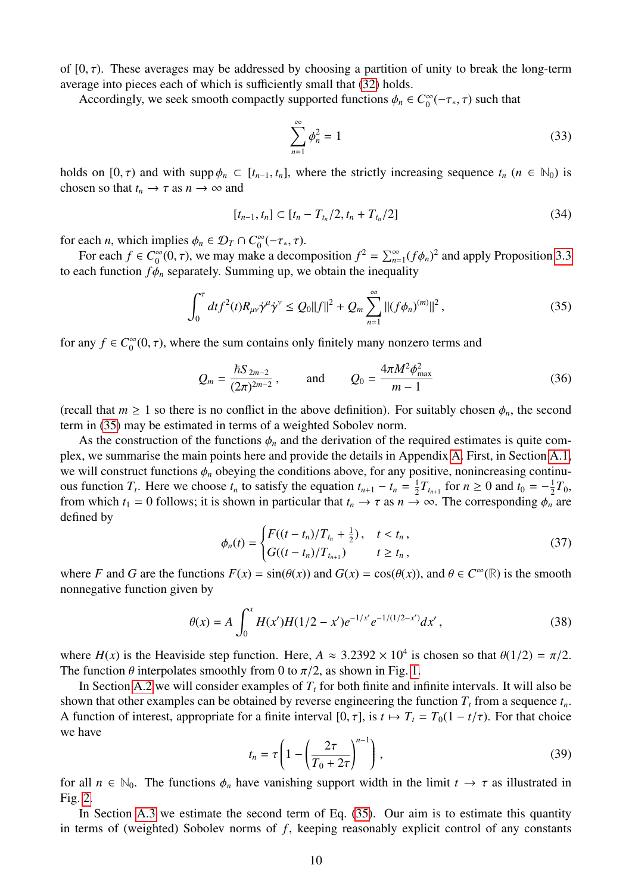of  $[0, \tau)$ . These averages may be addressed by choosing a partition of unity to break the long-term average into pieces each of which is sufficiently small that [\(32\)](#page-8-7) holds.

Accordingly, we seek smooth compactly supported functions  $\phi_n \in C_0^{\infty}$  $\int_0^\infty (-\tau_*, \tau)$  such that

<span id="page-9-3"></span><span id="page-9-0"></span>
$$
\sum_{n=1}^{\infty} \phi_n^2 = 1
$$
\n(33)

holds on  $[0, \tau)$  and with supp  $\phi_n \subset [t_{n-1}, t_n]$ , where the strictly increasing sequence  $t_n$   $(n \in \mathbb{N}_0)$  is chosen so that  $t_n \to \tau$  as  $n \to \infty$  and

<span id="page-9-4"></span>
$$
[t_{n-1}, t_n] \subset [t_n - T_{t_n}/2, t_n + T_{t_n}/2]
$$
\n(34)

for each *n*, which implies  $\phi_n \in \mathcal{D}_T \cap C_0^{\infty}$ <br>For each  $f \in C^{\infty}(0, \tau)$ , we may make  $\int_{0}^{\infty}(-\tau_*, \tau).$ 

For each  $f \in C_0^{\infty}$  $\sum_{0}^{\infty} (0, \tau)$ , we may make a decomposition  $f^{2} = \sum_{n=1}^{\infty} (f \phi_{n})^{2}$  and apply Proposition [3.3](#page-8-6) to each function  $f\phi_n$  separately. Summing up, we obtain the inequality

$$
\int_0^{\tau} dt f^2(t) R_{\mu\nu} \dot{\gamma}^{\mu} \dot{\gamma}^{\nu} \le Q_0 \|f\|^2 + Q_m \sum_{n=1}^{\infty} \| (f \phi_n)^{(m)} \|^2,
$$
\n(35)

for any  $f \in C_0^{\infty}$  $\int_0^\infty$ (0,  $\tau$ ), where the sum contains only finitely many nonzero terms and

$$
Q_m = \frac{\hbar S_{2m-2}}{(2\pi)^{2m-2}}, \quad \text{and} \quad Q_0 = \frac{4\pi M^2 \phi_{\text{max}}^2}{m-1}
$$
 (36)

(recall that  $m \ge 1$  so there is no conflict in the above definition). For suitably chosen  $\phi_n$ , the second term in [\(35\)](#page-9-0) may be estimated in terms of a weighted Sobolev norm.

As the construction of the functions  $\phi_n$  and the derivation of the required estimates is quite complex, we summarise the main points here and provide the details in Appendix [A.](#page-18-0) First, in Section [A.1,](#page-18-1) we will construct functions  $\phi_n$  obeying the conditions above, for any positive, nonincreasing continuous function  $T_t$ . Here we choose  $t_n$  to satisfy the equation  $t_{n+1} - t_n = \frac{1}{2}$  $\frac{1}{2}T_{t_{n+1}}$  for  $n \ge 0$  and  $t_0 = -\frac{1}{2}$  $\frac{1}{2}T_0$ , from which  $t_1 = 0$  follows; it is shown in particular that  $t_n \to \tau$  as  $n \to \infty$ . The corresponding  $\phi_n$  are defined by

$$
\phi_n(t) = \begin{cases}\nF((t - t_n)/T_{t_n} + \frac{1}{2}), & t < t_n, \\
G((t - t_n)/T_{t_{n+1}}) & t \ge t_n,\n\end{cases}
$$
\n(37)

<span id="page-9-5"></span>where *F* and *G* are the functions  $F(x) = sin(\theta(x))$  and  $G(x) = cos(\theta(x))$ , and  $\theta \in C^{\infty}(\mathbb{R})$  is the smooth nonnegative function given by nonnegative function given by

<span id="page-9-1"></span>
$$
\theta(x) = A \int_0^x H(x')H(1/2 - x')e^{-1/x'}e^{-1/(1/2 - x')}dx',
$$
\n(38)

where  $H(x)$  is the Heaviside step function. Here,  $A \approx 3.2392 \times 10^4$  is chosen so that  $\theta(1/2) = \pi/2$ .<br>The function  $\theta$  interpolates smoothly from 0 to  $\pi/2$  as shown in Fig. 1. The function  $\theta$  interpolates smoothly from 0 to  $\pi/2$ , as shown in Fig. [1.](#page-10-0)

<span id="page-9-2"></span>In Section [A.2](#page-19-0) we will consider examples of  $T<sub>t</sub>$  for both finite and infinite intervals. It will also be shown that other examples can be obtained by reverse engineering the function  $T<sub>t</sub>$  from a sequence  $t<sub>n</sub>$ . A function of interest, appropriate for a finite interval  $[0, \tau]$ , is  $t \mapsto T_t = T_0(1 - t/\tau)$ . For that choice we have

$$
t_n = \tau \left( 1 - \left( \frac{2\tau}{T_0 + 2\tau} \right)^{n-1} \right),\tag{39}
$$

for all  $n \in \mathbb{N}_0$ . The functions  $\phi_n$  have vanishing support width in the limit  $t \to \tau$  as illustrated in Fig. 2. Fig. [2.](#page-10-1)

In Section [A.3](#page-21-0) we estimate the second term of Eq. [\(35\)](#page-9-0). Our aim is to estimate this quantity in terms of (weighted) Sobolev norms of *f*, keeping reasonably explicit control of any constants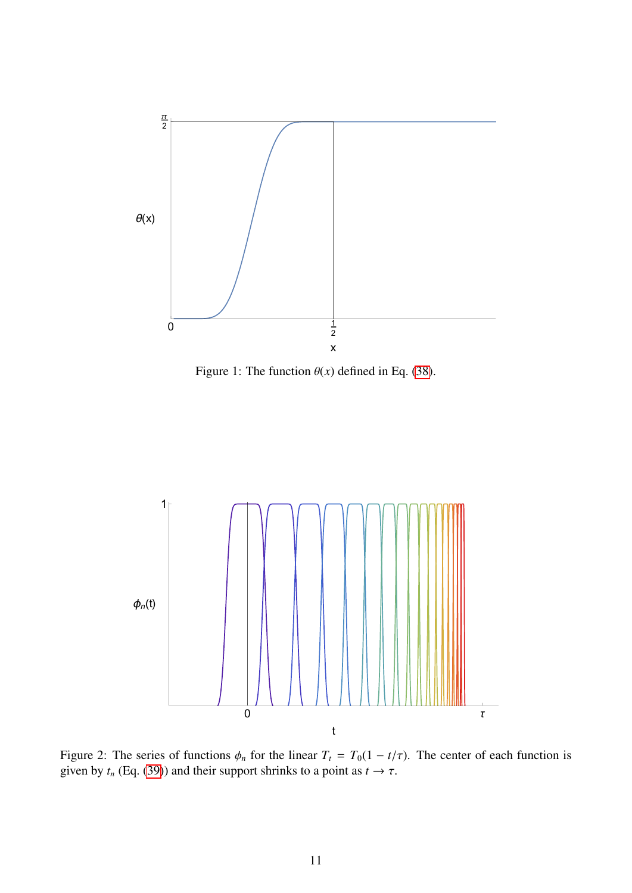<span id="page-10-0"></span>

Figure 1: The function  $\theta(x)$  defined in Eq. [\(38\)](#page-9-1).

<span id="page-10-1"></span>

Figure 2: The series of functions  $\phi_n$  for the linear  $T_t = T_0(1 - t/\tau)$ . The center of each function is given by  $t_n$  (Eq. [\(39\)](#page-9-2)) and their support shrinks to a point as  $t \to \tau$ .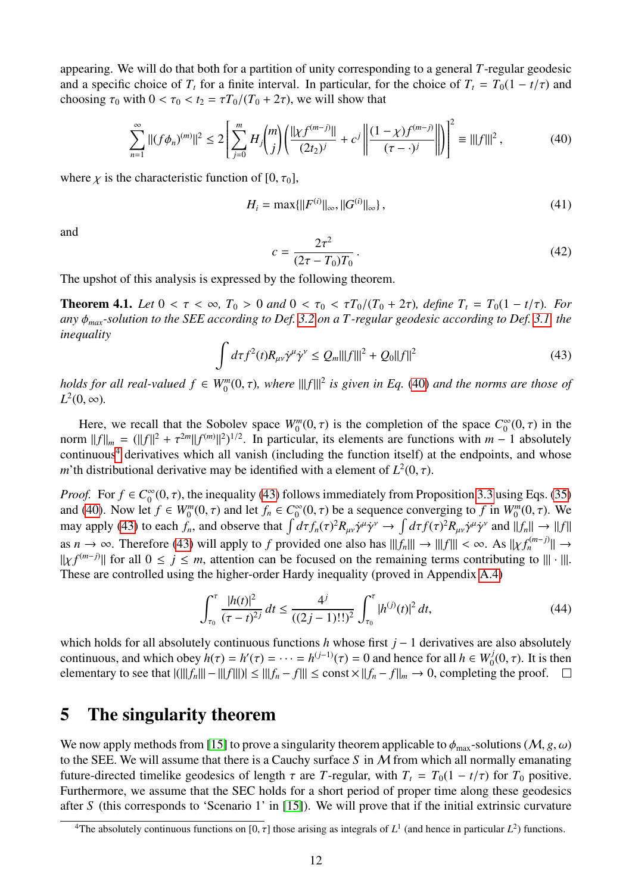appearing. We will do that both for a partition of unity corresponding to a general *T*-regular geodesic and a specific choice of  $T_t$  for a finite interval. In particular, for the choice of  $T_t = T_0(1 - t/\tau)$  and choosing  $\tau_0$  with  $0 < \tau_0 < t_2 = \tau T_0/(T_0 + 2\tau)$ , we will show that

$$
\sum_{n=1}^{\infty} ||(f\phi_n)^{(m)}||^2 \le 2\left[\sum_{j=0}^m H_j\binom{m}{j}\left(\frac{||\chi f^{(m-j)}||}{(2t_2)^j} + c^j\left(\frac{(1-\chi)f^{(m-j)}}{(\tau-\cdot)^j}\right)\right]\right]^2 \equiv |||f|||^2\,,\tag{40}
$$

where  $\chi$  is the characteristic function of [0,  $\tau_0$ ],

<span id="page-11-6"></span><span id="page-11-1"></span>
$$
H_i = \max\{\|F^{(i)}\|_{\infty}, \|G^{(i)}\|_{\infty}\},\tag{41}
$$

and

$$
c = \frac{2\tau^2}{(2\tau - T_0)T_0}.
$$
\n(42)

The upshot of this analysis is expressed by the following theorem.

<span id="page-11-4"></span><span id="page-11-3"></span>**Theorem 4.1.** *Let*  $0 < \tau < \infty$ ,  $T_0 > 0$  *and*  $0 < \tau_0 < \tau T_0/(T_0 + 2\tau)$ , *define*  $T_t = T_0(1 - t/\tau)$ *. For any* φ*max-solution to the SEE according to Def. [3.2](#page-8-4) on a T -regular geodesic according to Def. [3.1,](#page-8-0) the inequality*

$$
\int d\tau f^2(t) R_{\mu\nu} \dot{\gamma}^{\mu} \dot{\gamma}^{\nu} \le Q_m |||f|||^2 + Q_0 ||f||^2 \tag{43}
$$

*holds for all real-valued*  $f \in W_0^m(0, \tau)$ , where  $|||f|||^2$  is given in Eq. [\(40\)](#page-11-1) and the norms are those of  $I^2(0, \infty)$  $L^2(0, \infty)$ .

Here, we recall that the Sobolev space  $W_0^m(0, \tau)$  is the completion of the space  $C_0^{\infty}$ <br>m  $||f|| = (||f||^2 + \tau^{2m}||f^{(m)}||^2)^{1/2}$  In particular its elements are functions with  $m =$  $\int_{0}^{\infty}(0, \tau)$  in the norm  $||f||_m = (||f||^2 + \tau^{2m}||f^{(m)}||^2)^{1/2}$ . In particular, its elements are functions with  $m - 1$  absolutely continuous<sup>4</sup> derivatives which all vanish (including the function itself) at the endpoints and whose continuous<sup>[4](#page-11-2)</sup> derivatives which all vanish (including the function itself) at the endpoints, and whose *m*'th distributional derivative may be identified with a element of  $L^2(0, \tau)$ .

*Proof.* For  $f \in C_0^\infty$  $\int_0^{\infty} (0, \tau)$ , the inequality [\(43\)](#page-11-3) follows immediately from Proposition [3.3](#page-8-6) using Eqs. [\(35\)](#page-9-0)<br>  $\int_0^{\infty} f \in W^m(0, \tau)$  and let  $f \in C^{\infty}(0, \tau)$  be a sequence converging to f in  $W^m(0, \tau)$ . We and [\(40\)](#page-11-1). Now let  $f \in W_0^m(0, \tau)$  and let  $f_n \in C_0^{\infty}$ <br>may apply (43) to each  $f$  and observe that  $\int d\tau$  $\int_0^\infty (0, \tau)$  be a sequence converging to *f* in  $W_0^m(0, \tau)$ . We <br>  $\int d\tau f(x)^2 P_0 \dot{\gamma}^{\mu} \dot{\gamma}^{\nu} \rightarrow \int d\tau f(x)^2 P_0 \dot{\gamma}^{\mu} \dot{\gamma}^{\nu}$  and  $||f|| \rightarrow ||f||$ may apply [\(43\)](#page-11-3) to each  $\hat{f}_n$ , and observe that  $\int d\tau f_n(\tau)^2 R_{\mu\nu} \dot{\gamma}^\mu \dot{\gamma}^\nu \rightarrow \int d\tau f(\tau)^2 R_{\mu\nu} \dot{\gamma}^\mu \dot{\gamma}^\nu$  and  $||f_n|| \rightarrow ||f||$ as  $n \to \infty$ . Therefore [\(43\)](#page-11-3) will apply to *f* provided one also has  $|||f_n||| \to |||f||| < \infty$ . As  $||\chi f_n^{(m-j)}|| \to ||\chi f^{(m-j)}|| \to ||\chi f^{(m-j)}||$  and the remaining terms contributing to  $|||$ .  $|||$  $||\chi f^{(m-j)}||$  for all  $0 \le j \le m$ , attention can be focused on the remaining terms contributing to  $||| \cdot |||$ .<br>These are controlled using the higher-order Hardy inequality (proved in Appendix A 4) These are controlled using the higher-order Hardy inequality (proved in Appendix [A.4\)](#page-22-0)

<span id="page-11-5"></span>
$$
\int_{\tau_0}^{\tau} \frac{|h(t)|^2}{(\tau - t)^{2j}} dt \le \frac{4^j}{((2j - 1)!)^2} \int_{\tau_0}^{\tau} |h^{(j)}(t)|^2 dt,
$$
\n(44)

which holds for all absolutely continuous functions *h* whose first *j* − 1 derivatives are also absolutely continuous, and which obey  $h(\tau) = h'(\tau) = \cdots = h^{(j-1)}(\tau) = 0$  and hence for all  $h \in W_0^j$ <br>elementary to see that  $\left|\frac{f(\|f\|) - f(\|f\|)}{g(\|f\|)}\right| \leq \|f\| + \|f\| \leq \text{const} \times \|f\| + \|f\| \to 0$ , completing  $\int_0^U(0,\tau)$ . It is then elementary to see that  $|(|||f_n|| - ||f|||)| ≤ ||f_n - f||| ≤ const × ||f_n - f||_m → 0$ , completing the proof.  $□$ 

### <span id="page-11-0"></span>5 The singularity theorem

We now apply methods from [\[15\]](#page-25-14) to prove a singularity theorem applicable to  $\phi_{\text{max}}$ -solutions (M, *g*,  $\omega$ ) to the SEE. We will assume that there is a Cauchy surface *S* in M from which all normally emanating future-directed timelike geodesics of length  $\tau$  are *T*-regular, with  $T_t = T_0(1 - t/\tau)$  for  $T_0$  positive. Furthermore, we assume that the SEC holds for a short period of proper time along these geodesics after *S* (this corresponds to 'Scenario 1' in [\[15\]](#page-25-14)). We will prove that if the initial extrinsic curvature

<span id="page-11-2"></span><sup>&</sup>lt;sup>4</sup>The absolutely continuous functions on [0,  $\tau$ ] those arising as integrals of  $L^1$  (and hence in particular  $L^2$ ) functions.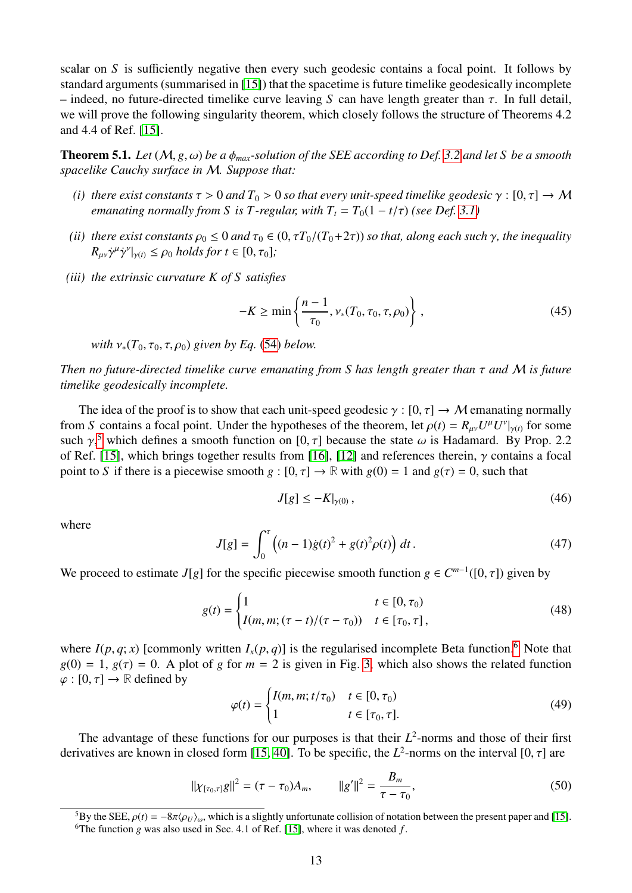scalar on *S* is sufficiently negative then every such geodesic contains a focal point. It follows by standard arguments (summarised in [\[15\]](#page-25-14)) that the spacetime is future timelike geodesically incomplete – indeed, no future-directed timelike curve leaving *<sup>S</sup>* can have length greater than τ. In full detail, we will prove the following singularity theorem, which closely follows the structure of Theorems 4.2 and 4.4 of Ref. [\[15\]](#page-25-14).

<span id="page-12-3"></span>**Theorem 5.1.** *Let*  $(M, g, \omega)$  *be a*  $\phi_{max}$ *-solution of the SEE according to Def.* [3.2](#page-8-4) *and let* S *be a smooth spacelike Cauchy surface in* M*. Suppose that:*

- *(i) there exist constants*  $\tau > 0$  *and*  $T_0 > 0$  *so that every unit-speed timelike geodesic*  $\gamma : [0, \tau] \to M$ *emanating normally from S is T-regular, with*  $T<sub>t</sub> = T<sub>0</sub>(1 - t/\tau)$  *(see Def.* [3.1\)](#page-8-0)
- *(ii) there exist constants*  $\rho_0 \leq 0$  *and*  $\tau_0 \in (0, \tau T_0/(T_0+2\tau))$  *so that, along each such*  $\gamma$ *, the inequality*  $R_{\mu\nu}\dot{\gamma}^{\mu}\dot{\gamma}^{\nu}|_{\gamma(t)} \leq \rho_0 \text{ holds for } t \in [0, \tau_0];$
- *(iii) the extrinsic curvature K of S satisfies*

$$
-K \ge \min\left\{\frac{n-1}{\tau_0}, \nu_*(T_0, \tau_0, \tau, \rho_0)\right\},
$$
\n(45)

*with*  $v_*(T_0, \tau_0, \tau, \rho_0)$  *given by Eq.* [\(54\)](#page-13-0) *below.* 

*Then no future-directed timelike curve emanating from S has length greater than* τ *and* <sup>M</sup> *is future timelike geodesically incomplete.*

The idea of the proof is to show that each unit-speed geodesic  $\gamma : [0, \tau] \to M$  emanating normally from *S* contains a focal point. Under the hypotheses of the theorem, let  $\rho(t) = R_{\mu\nu}U^{\mu}U^{\nu}|_{\gamma(t)}$  for some such  $\gamma^5$  which defines a smooth function on [0,  $\tau$ ] because the state  $\omega$  is Hadamard. By Prop. 2.2. such  $\gamma$ ,<sup>[5](#page-12-0)</sup> which defines a smooth function on [0,  $\tau$ ] because the state  $\omega$  is Hadamard. By Prop. 2.2<br>of Ref. [15] which brings together results from [16] [12] and references therein  $\alpha$  contains a focal of Ref. [\[15\]](#page-25-14), which brings together results from [\[16\]](#page-25-15), [\[12\]](#page-25-11) and references therein,  $\gamma$  contains a focal point to *S* if there is a piecewise smooth  $g : [0, \tau] \to \mathbb{R}$  with  $g(0) = 1$  and  $g(\tau) = 0$ , such that

<span id="page-12-5"></span>
$$
J[g] \le -K|_{\gamma(0)},\tag{46}
$$

<span id="page-12-4"></span>where

$$
J[g] = \int_0^{\tau} \left( (n-1)\dot{g}(t)^2 + g(t)^2 \rho(t) \right) dt.
$$
 (47)

We proceed to estimate *J*[*g*] for the specific piecewise smooth function  $g \in C^{m-1}([0, \tau])$  given by

$$
g(t) = \begin{cases} 1 & t \in [0, \tau_0) \\ I(m, m; (\tau - t)/(\tau - \tau_0)) & t \in [\tau_0, \tau], \end{cases}
$$
(48)

where  $I(p, q; x)$  [commonly written  $I_x(p, q)$ ] is the regularised incomplete Beta function.<sup>[6](#page-12-1)</sup> Note that  $g(0) = 1$ ,  $g(\tau) = 0$ . A plot of *g* for  $m = 2$  is given in Fig. [3,](#page-13-1) which also shows the related function  $\varphi : [0, \tau] \to \mathbb{R}$  defined by

<span id="page-12-6"></span><span id="page-12-2"></span>
$$
\varphi(t) = \begin{cases} I(m, m; t/\tau_0) & t \in [0, \tau_0) \\ 1 & t \in [\tau_0, \tau]. \end{cases} \tag{49}
$$

The advantage of these functions for our purposes is that their  $L^2$ -norms and those of their first derivatives are known in closed form [\[15,](#page-25-14) [40\]](#page-27-5). To be specific, the  $L^2$ -norms on the interval [0,  $\tau$ ] are

$$
||\chi_{[\tau_0,\tau]}g||^2 = (\tau - \tau_0)A_m, \qquad ||g'||^2 = \frac{B_m}{\tau - \tau_0}, \qquad (50)
$$

<span id="page-12-1"></span><span id="page-12-0"></span><sup>&</sup>lt;sup>5</sup>By the SEE,  $\rho(t) = -8\pi \langle \rho_U \rangle_{\omega}$ , which is a slightly unfortunate collision of notation between the present paper and [\[15\]](#page-25-14). <sup>6</sup>The function *g* was also used in Sec. 4.1 of Ref. [\[15\]](#page-25-14), where it was denoted  $f$ .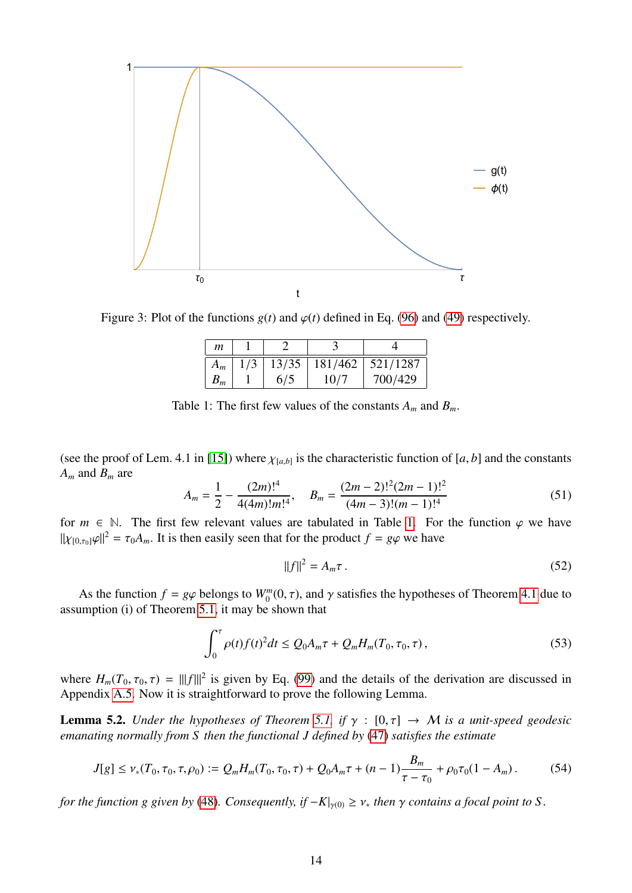<span id="page-13-1"></span>

<span id="page-13-2"></span>Figure 3: Plot of the functions  $g(t)$  and  $\varphi(t)$  defined in Eq. [\(96\)](#page-22-1) and [\(49\)](#page-12-2) respectively.

| 13/35<br>181/462<br>521/1287<br>1/3<br>$A_m$<br>700/429<br>10/7<br>6/5 | $\boldsymbol{m}$ |  |  |
|------------------------------------------------------------------------|------------------|--|--|
|                                                                        |                  |  |  |
|                                                                        | $B_m$            |  |  |

Table 1: The first few values of the constants  $A_m$  and  $B_m$ .

(see the proof of Lem. 4.1 in [\[15\]](#page-25-14)) where  $\chi_{[a,b]}$  is the characteristic function of  $[a, b]$  and the constants  $A$  and  $B$  are *A<sup>m</sup>* and *B<sup>m</sup>* are

$$
A_m = \frac{1}{2} - \frac{(2m)!^4}{4(4m)!m!^4}, \quad B_m = \frac{(2m-2)!^2(2m-1)!^2}{(4m-3)!(m-1)!^4}
$$
(51)

for  $m \in \mathbb{N}$ . The first few relevant values are tabulated in Table [1.](#page-13-2) For the function  $\varphi$  we have  $||\chi_{[0,\tau_0]}\varphi||^2 = \tau_0 A_m$ . It is then easily seen that for the product  $f = g\varphi$  we have

<span id="page-13-3"></span>
$$
||f||^2 = A_m \tau. \tag{52}
$$

As the function  $f = g\varphi$  belongs to  $W_0^m(0, \tau)$ , and  $\gamma$  satisfies the hypotheses of Theorem [4.1](#page-11-4) due to unption (i) of Theorem 5.1, it may be shown that assumption (i) of Theorem [5.1,](#page-12-3) it may be shown that

$$
\int_0^{\tau} \rho(t) f(t)^2 dt \le Q_0 A_m \tau + Q_m H_m(T_0, \tau_0, \tau), \qquad (53)
$$

where  $H_m(T_0, \tau_0, \tau) = |||f|||^2$  is given by Eq. [\(99\)](#page-23-0) and the details of the derivation are discussed in<br>Appendix A.5. Now it is straightforward to prove the following Lemma Appendix [A.5.](#page-22-2) Now it is straightforward to prove the following Lemma.

<span id="page-13-4"></span>**Lemma 5.2.** *Under the hypotheses of Theorem [5.1,](#page-12-3) if*  $\gamma : [0, \tau] \rightarrow M$  *is a unit-speed geodesic emanating normally from S then the functional J defined by* [\(47\)](#page-12-4) *satisfies the estimate*

<span id="page-13-0"></span>
$$
J[g] \le \nu_*(T_0, \tau_0, \tau, \rho_0) := Q_m H_m(T_0, \tau_0, \tau) + Q_0 A_m \tau + (n-1) \frac{B_m}{\tau - \tau_0} + \rho_0 \tau_0 (1 - A_m). \tag{54}
$$

*for the function g given by* [\(48\)](#page-12-5)*. Consequently, if*  $-K|_{\gamma(0)} \geq v_*$  *then*  $\gamma$  *contains a focal point to S.*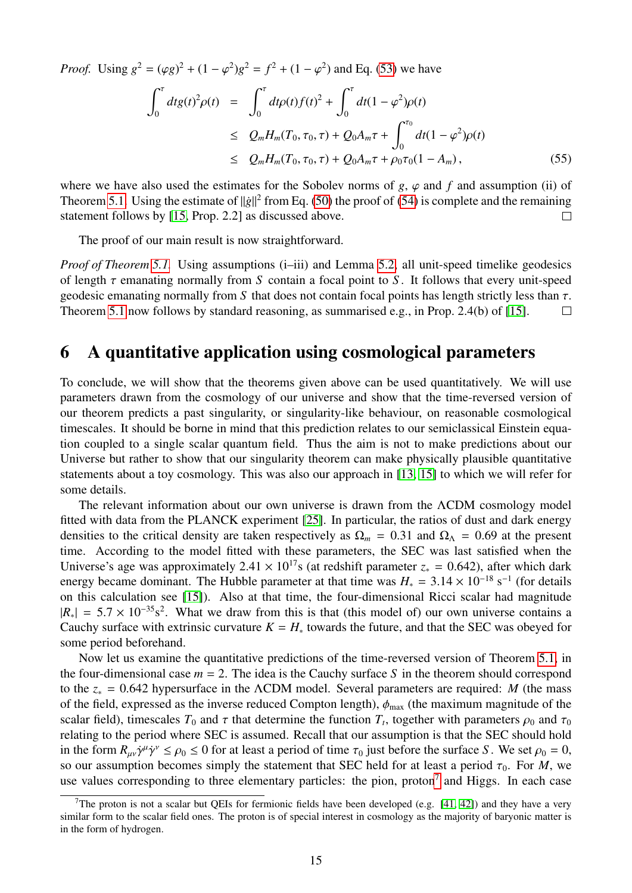*Proof.* Using  $g^2 = (\varphi g)^2 + (1 - \varphi^2)g^2 = f^2 + (1 - \varphi^2)$  and Eq. [\(53\)](#page-13-3) we have

$$
\int_0^{\tau} dt g(t)^2 \rho(t) = \int_0^{\tau} dt \rho(t) f(t)^2 + \int_0^{\tau} dt (1 - \varphi^2) \rho(t)
$$
\n
$$
\leq Q_m H_m(T_0, \tau_0, \tau) + Q_0 A_m \tau + \int_0^{\tau_0} dt (1 - \varphi^2) \rho(t)
$$
\n
$$
\leq Q_m H_m(T_0, \tau_0, \tau) + Q_0 A_m \tau + \rho_0 \tau_0 (1 - A_m), \tag{55}
$$

where we have also used the estimates for the Sobolev norms of  $g, \varphi$  and  $f$  and assumption (ii) of Theorem [5.1.](#page-12-3) Using the estimate of  $\|\dot{g}\|^2$  from Eq. [\(50\)](#page-12-6) the proof of [\(54\)](#page-13-0) is complete and the remaining statement follows by [\[15,](#page-25-14) Prop. 2.2] as discussed above.  $\Box$ 

The proof of our main result is now straightforward.

*Proof of Theorem* [5.1.](#page-12-3) Using assumptions (i–iii) and Lemma [5.2,](#page-13-4) all unit-speed timelike geodesics of length τ emanating normally from *<sup>S</sup>* contain a focal point to *<sup>S</sup>* . It follows that every unit-speed geodesic emanating normally from *S* that does not contain focal points has length strictly less than  $\tau$ .<br>Theorem 5.1 now follows by standard reasoning, as summarised e.g., in Prop. 2.4(b) of [15]. Theorem [5.1](#page-12-3) now follows by standard reasoning, as summarised e.g., in Prop. 2.4(b) of [\[15\]](#page-25-14).

### <span id="page-14-0"></span>6 A quantitative application using cosmological parameters

To conclude, we will show that the theorems given above can be used quantitatively. We will use parameters drawn from the cosmology of our universe and show that the time-reversed version of our theorem predicts a past singularity, or singularity-like behaviour, on reasonable cosmological timescales. It should be borne in mind that this prediction relates to our semiclassical Einstein equation coupled to a single scalar quantum field. Thus the aim is not to make predictions about our Universe but rather to show that our singularity theorem can make physically plausible quantitative statements about a toy cosmology. This was also our approach in [\[13,](#page-25-12) [15\]](#page-25-14) to which we will refer for some details.

The relevant information about our own universe is drawn from the ΛCDM cosmology model fitted with data from the PLANCK experiment [\[25\]](#page-26-6). In particular, the ratios of dust and dark energy densities to the critical density are taken respectively as  $\Omega_m = 0.31$  and  $\Omega_{\Lambda} = 0.69$  at the present time. According to the model fitted with these parameters, the SEC was last satisfied when the Universe's age was approximately 2.41 ×  $10^{17}$ s (at redshift parameter  $z_* = 0.642$ ), after which dark energy became dominant. The Hubble parameter at that time was  $H_* = 3.14 \times 10^{-18} \text{ s}^{-1}$  (for details on this calculation see [15]). Also at that time, the four-dimensional Ricci scalar had magnitude on this calculation see [\[15\]](#page-25-14)). Also at that time, the four-dimensional Ricci scalar had magnitude  $|R_*| = 5.7 \times 10^{-35}$ s<sup>2</sup>. What we draw from this is that (this model of) our own universe contains a<br>Cauchy surface with extrinsic curvature  $K = H$  towards the future and that the SEC was obeyed for Cauchy surface with extrinsic curvature  $K = H_*$  towards the future, and that the SEC was obeyed for some period beforehand.

Now let us examine the quantitative predictions of the time-reversed version of Theorem [5.1,](#page-12-3) in the four-dimensional case  $m = 2$ . The idea is the Cauchy surface S in the theorem should correspond to the *<sup>z</sup>*<sup>∗</sup> <sup>=</sup> <sup>0</sup>.642 hypersurface in the <sup>Λ</sup>CDM model. Several parameters are required: *<sup>M</sup>* (the mass of the field, expressed as the inverse reduced Compton length),  $\phi_{\text{max}}$  (the maximum magnitude of the scalar field), timescales  $T_0$  and  $\tau$  that determine the function  $T_t$ , together with parameters  $\rho_0$  and  $\tau_0$ <br>relating to the period where SEC is assumed. Recall that our assumption is that the SEC should hold relating to the period where SEC is assumed. Recall that our assumption is that the SEC should hold in the form  $R_{\mu\nu}\dot{\gamma}^{\mu}\dot{\gamma}^{\nu} \le \rho_0 \le 0$  for at least a period of time  $\tau_0$  just before the surface *S*. We set  $\rho_0 = 0$ , so our assumption becomes simply the statement that SEC held for at least a period  $\tau_0$ so our assumption becomes simply the statement that SEC held for at least a period  $\tau_0$ . For *M*, we use values corresponding to three elementary particles: the pion, proton<sup>[7](#page-14-1)</sup> and Higgs. In each case

<span id="page-14-1"></span><sup>&</sup>lt;sup>7</sup>The proton is not a scalar but OEIs for fermionic fields have been developed (e.g. [\[41,](#page-27-6) [42\]](#page-27-7)) and they have a very similar form to the scalar field ones. The proton is of special interest in cosmology as the majority of baryonic matter is in the form of hydrogen.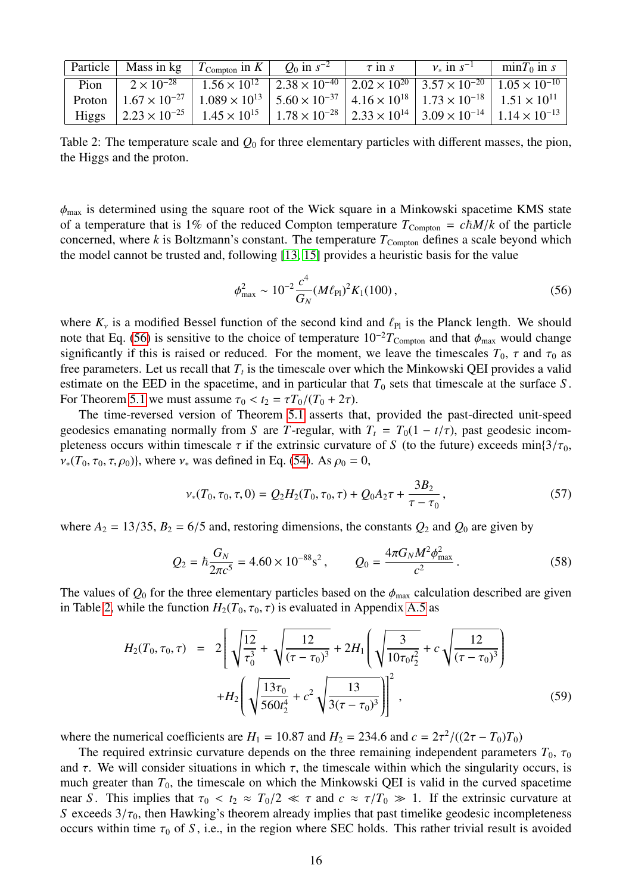<span id="page-15-1"></span>

|  | Particle   Mass in kg   $T_{\text{Compton}}$ in $K$   $Q_0$ in $s^{-2}$   $\tau$ in $s$   $v_*$ in $s^{-1}$   min $T_0$ in $s$                                                             |  |  |
|--|--------------------------------------------------------------------------------------------------------------------------------------------------------------------------------------------|--|--|
|  | Pion $2 \times 10^{-28}$ $\boxed{1.56 \times 10^{12}$ $\boxed{2.38 \times 10^{-40}$ $\boxed{2.02 \times 10^{20}$ $\boxed{3.57 \times 10^{-20}$ $\boxed{1.05 \times 10^{-10}}}$             |  |  |
|  | Proton $1.67 \times 10^{-27}$ $1.089 \times 10^{13}$ $5.60 \times 10^{-37}$ $4.16 \times 10^{18}$ $1.73 \times 10^{-18}$ $1.51 \times 10^{11}$                                             |  |  |
|  | Higgs $\left  2.23 \times 10^{-25} \right $ 1.45 $\times 10^{15}$ $\left  1.78 \times 10^{-28} \right $ 2.33 $\times 10^{14}$ $\left  3.09 \times 10^{-14} \right $ 1.14 $\times 10^{-13}$ |  |  |
|  |                                                                                                                                                                                            |  |  |

Table 2: The temperature scale and *Q*<sup>0</sup> for three elementary particles with different masses, the pion, the Higgs and the proton.

 $\phi_{\text{max}}$  is determined using the square root of the Wick square in a Minkowski spacetime KMS state of a temperature that is 1% of the reduced Compton temperature  $T_{\text{Compton}} = c\hbar M/k$  of the particle concerned, where  $k$  is Boltzmann's constant. The temperature  $T_{\text{Compton}}$  defines a scale beyond which the model cannot be trusted and, following [\[13,](#page-25-12) [15\]](#page-25-14) provides a heuristic basis for the value

<span id="page-15-0"></span>
$$
\phi_{\text{max}}^2 \sim 10^{-2} \frac{c^4}{G_N} (M \ell_{\text{Pl}})^2 K_1(100) \,, \tag{56}
$$

where  $K_v$  is a modified Bessel function of the second kind and  $\ell_{\text{Pl}}$  is the Planck length. We should note that Eq. [\(56\)](#page-15-0) is sensitive to the choice of temperature  $10^{-2}T_{\text{Compton}}$  and that  $\phi_{\text{max}}$  would change significantly if this is raised or reduced. For the moment, we leave the timescales  $T_0$ ,  $\tau$  and  $\tau_0$  as free parameters. Let us recall that *T<sup>t</sup>* is the timescale over which the Minkowski QEI provides a valid estimate on the EED in the spacetime, and in particular that  $T_0$  sets that timescale at the surface  $S$ . For Theorem [5.1](#page-12-3) we must assume  $\tau_0 < t_2 = \tau T_0/(T_0 + 2\tau)$ .

The time-reversed version of Theorem [5.1](#page-12-3) asserts that, provided the past-directed unit-speed geodesics emanating normally from *S* are *T*-regular, with  $T_t = T_0(1 - t/\tau)$ , past geodesic incompleteness occurs within timescale  $\tau$  if the extrinsic curvature of *S* (to the future) exceeds min $\left(\frac{3}{\tau_0}\right)$ ,  $v_*(T_0, \tau_0, \tau, \rho_0)$ , where  $v_*$  was defined in Eq. [\(54\)](#page-13-0). As  $\rho_0 = 0$ ,

<span id="page-15-2"></span>
$$
\nu_*(T_0, \tau_0, \tau, 0) = Q_2 H_2(T_0, \tau_0, \tau) + Q_0 A_2 \tau + \frac{3B_2}{\tau - \tau_0},
$$
\n
$$
(57)
$$

where  $A_2 = 13/35$ ,  $B_2 = 6/5$  and, restoring dimensions, the constants  $Q_2$  and  $Q_0$  are given by

$$
Q_2 = \hbar \frac{G_N}{2\pi c^5} = 4.60 \times 10^{-88} \text{s}^2, \qquad Q_0 = \frac{4\pi G_N M^2 \phi_{\text{max}}^2}{c^2} \,. \tag{58}
$$

The values of  $Q_0$  for the three elementary particles based on the  $\phi_{\text{max}}$  calculation described are given in Table [2,](#page-15-1) while the function  $H_2(T_0, \tau_0, \tau)$  is evaluated in Appendix [A.5](#page-22-2) as

$$
H_2(T_0, \tau_0, \tau) = 2 \left[ \sqrt{\frac{12}{\tau_0^3}} + \sqrt{\frac{12}{(\tau - \tau_0)^3}} + 2H_1 \left( \sqrt{\frac{3}{10\tau_0 t_2^2}} + c \sqrt{\frac{12}{(\tau - \tau_0)^3}} \right) + H_2 \left( \sqrt{\frac{13\tau_0}{560t_2^4}} + c^2 \sqrt{\frac{13}{3(\tau - \tau_0)^3}} \right) \right]^2,
$$
(59)

where the numerical coefficients are  $H_1 = 10.87$  and  $H_2 = 234.6$  and  $c = 2\tau^2/((2\tau - T_0)T_0)$ <br>The required extrinsic curvature depends on the three remaining independent paramet

The required extrinsic curvature depends on the three remaining independent parameters  $T_0$ ,  $\tau_0$ and  $\tau$ . We will consider situations in which  $\tau$ , the timescale within which the singularity occurs, is much greater than  $T_0$ , the timescale on which the Minkowski QEI is valid in the curved spacetime near *S*. This implies that  $\tau_0 < t_2 \approx T_0/2 \ll \tau$  and  $c \approx \tau/T_0 \gg 1$ . If the extrinsic curvature at *S* exceeds  $3/\tau_0$ , then Hawking's theorem already implies that past timelike geodesic incompleteness occurs within time  $\tau_0$  of *S*, i.e., in the region where SEC holds. This rather trivial result is avoided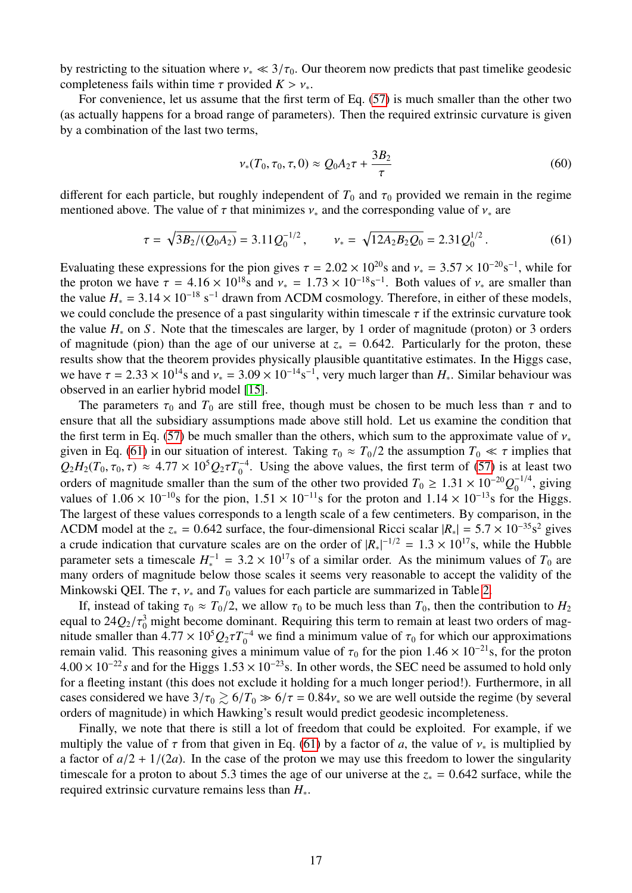by restricting to the situation where  $v_* \ll 3/\tau_0$ . Our theorem now predicts that past timelike geodesic completeness fails within time  $\tau$  provided  $K > v_*$ .

For convenience, let us assume that the first term of Eq. [\(57\)](#page-15-2) is much smaller than the other two (as actually happens for a broad range of parameters). Then the required extrinsic curvature is given by a combination of the last two terms,

<span id="page-16-0"></span>
$$
\nu_*(T_0, \tau_0, \tau, 0) \approx Q_0 A_2 \tau + \frac{3B_2}{\tau}
$$
\n(60)

different for each particle, but roughly independent of  $T_0$  and  $\tau_0$  provided we remain in the regime mentioned above. The value of  $\tau$  that minimizes  $v_*$  and the corresponding value of  $v_*$  are

$$
\tau = \sqrt{3B_2/(Q_0 A_2)} = 3.11 Q_0^{-1/2}, \qquad \nu_* = \sqrt{12A_2 B_2 Q_0} = 2.31 Q_0^{1/2}.
$$
 (61)

Evaluating these expressions for the pion gives  $\tau = 2.02 \times 10^{20}$ s and  $v_* = 3.57 \times 10^{-20}$ s<sup>-1</sup>, while for<br>the proton we have  $\tau = 4.16 \times 10^{18}$ s and  $v_* = 1.73 \times 10^{-18}$ s<sup>-1</sup>. Both values of v, are smaller than the proton we have  $\tau = 4.16 \times 10^{18}$ s and  $v_* = 1.73 \times 10^{-18}$ s<sup>-1</sup>. Both values of  $v_*$  are smaller than<br>the value  $H = 3.14 \times 10^{-18}$  s<sup>-1</sup> drawn from ACDM cosmology. Therefore, in either of these models the value  $H_* = 3.14 \times 10^{-18} \text{ s}^{-1}$  drawn from  $\Lambda$ CDM cosmology. Therefore, in either of these models, we could conclude the presence of a past singularity within timescale  $\tau$  if the extrinsic curvature took we could conclude the presence of a past singularity within timescale  $\tau$  if the extrinsic curvature took the value *H*<sup>∗</sup> on *S* . Note that the timescales are larger, by 1 order of magnitude (proton) or 3 orders of magnitude (pion) than the age of our universe at  $z_* = 0.642$ . Particularly for the proton, these results show that the theorem provides physically plausible quantitative estimates. In the Higgs case, we have  $\tau = 2.33 \times 10^{14}$ s and  $v_* = 3.09 \times 10^{-14}$ s<sup>-1</sup>, very much larger than  $H_*$ . Similar behaviour was observed in an earlier hybrid model [\[15\]](#page-25-14).

The parameters  $\tau_0$  and  $T_0$  are still free, though must be chosen to be much less than  $\tau$  and to ensure that all the subsidiary assumptions made above still hold. Let us examine the condition that the first term in Eq. [\(57\)](#page-15-2) be much smaller than the others, which sum to the approximate value of  $v_*$ given in Eq. [\(61\)](#page-16-0) in our situation of interest. Taking  $\tau_0 \approx T_0/2$  the assumption  $T_0 \ll \tau$  implies that  $Q_2H_2(T_0, \tau_0, \tau) \approx 4.77 \times 10^5 Q_2 \tau T_0^{-4}$ <br>orders of mognitude smaller than the  $_{0}^{0}$ . Using the above values, the first term of [\(57\)](#page-15-2) is at least two orders of magnitude smaller than the sum of the other two provided  $T_0 \ge 1.31 \times 10^{-20} Q_0^{-1/4}$ , giving values of 1.06 × 10<sup>-10</sup>s for the pion 1.51 × 10<sup>-11</sup>s for the proton and 1.14 × 10<sup>-13</sup>s for the Higgs values of  $1.06 \times 10^{-10}$ s for the pion,  $1.51 \times 10^{-11}$ s for the proton and  $1.14 \times 10^{-13}$ s for the Higgs. The largest of these values corresponds to a length scale of a few centimeters. By comparison, in the ΛCDM model at the  $z_* = 0.642$  surface, the four-dimensional Ricci scalar  $|R_*| = 5.7 \times 10^{-35}$ s<sup>2</sup> gives<br>a crude indication that curvature scales are on the order of  $|R_*|^{-1/2} = 1.3 \times 10^{17}$ s, while the Hubble a crude indication that curvature scales are on the order of  $|R_*|^{-1/2} = 1.3 \times 10^{17}$ s, while the Hubble<br>parameter sets a timescale  $H^{-1} = 3.2 \times 10^{17}$ s of a similar order. As the minimum values of  $T_0$  are parameter sets a timescale  $H_*^{-1} = 3.2 \times 10^{17}$ s of a similar order. As the minimum values of  $T_0$  are<br>many orders of magnitude below those scales it seems very reasonable to accent the validity of the many orders of magnitude below those scales it seems very reasonable to accept the validity of the Minkowski QEI. The  $\tau$ ,  $\nu$ <sub>\*</sub> and  $T_0$  values for each particle are summarized in Table [2.](#page-15-1)

If, instead of taking  $\tau_0 \approx T_0/2$ , we allow  $\tau_0$  to be much less than  $T_0$ , then the contribution to  $H_2$ equal to  $24Q_2/\tau_0^3$  might become dominant. Requiring this term to remain at least two orders of mag-<br>pitude smaller than  $4.77 \times 10^5 O_2 \tau T^{-4}$  we find a minimum value of  $\tau_0$  for which our approximations nitude smaller than  $4.77 \times 10^5 Q_2 \tau T_0^{-4}$  we find a minimum value of  $\tau_0$  for which our approximations<br>remain valid. This reasoning gives a minimum value of  $\tau_0$  for the pion  $1.46 \times 10^{-21}$ s, for the proton remain valid. This reasoning gives a minimum value of  $\tau_0$  for the pion 1.46 × 10<sup>-21</sup>s, for the proton  $4.00 \times 10^{-22}$  *s* and for the Higgs  $1.53 \times 10^{-23}$  s. In other words, the SEC need be assumed to hold only for a fleeting instant (this does not exclude it holding for a much longer period!). Furthermore, in all cases considered we have  $3/\tau_0 \gtrsim 6/T_0 \gg 6/\tau = 0.84v_*$  so we are well outside the regime (by several orders of magnitude) in which Hawking's result would predict geodesic incompleteness.

Finally, we note that there is still a lot of freedom that could be exploited. For example, if we multiply the value of  $\tau$  from that given in Eq. [\(61\)](#page-16-0) by a factor of *a*, the value of  $v_*$  is multiplied by a factor of  $a/2 + 1/(2a)$ . In the case of the proton we may use this freedom to lower the singularity timescale for a proton to about 5.3 times the age of our universe at the  $z_* = 0.642$  surface, while the required extrinsic curvature remains less than *H*∗.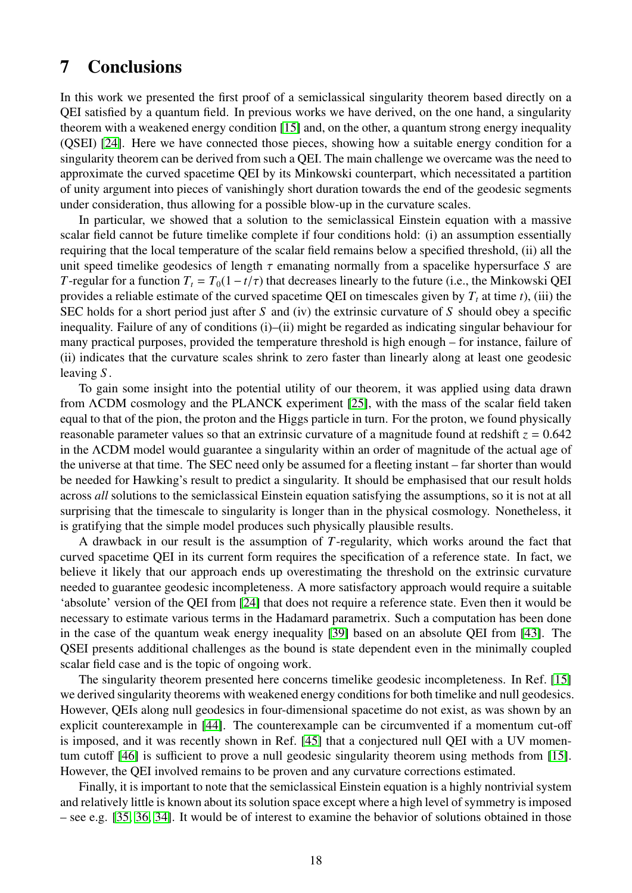# <span id="page-17-0"></span>7 Conclusions

In this work we presented the first proof of a semiclassical singularity theorem based directly on a QEI satisfied by a quantum field. In previous works we have derived, on the one hand, a singularity theorem with a weakened energy condition [\[15\]](#page-25-14) and, on the other, a quantum strong energy inequality (QSEI) [\[24\]](#page-26-5). Here we have connected those pieces, showing how a suitable energy condition for a singularity theorem can be derived from such a QEI. The main challenge we overcame was the need to approximate the curved spacetime QEI by its Minkowski counterpart, which necessitated a partition of unity argument into pieces of vanishingly short duration towards the end of the geodesic segments under consideration, thus allowing for a possible blow-up in the curvature scales.

In particular, we showed that a solution to the semiclassical Einstein equation with a massive scalar field cannot be future timelike complete if four conditions hold: (i) an assumption essentially requiring that the local temperature of the scalar field remains below a specified threshold, (ii) all the unit speed timelike geodesics of length  $\tau$  emanating normally from a spacelike hypersurface *S* are *T*-regular for a function  $T_t = T_0(1 - t/\tau)$  that decreases linearly to the future (i.e., the Minkowski QEI provides a reliable estimate of the curved spacetime QEI on timescales given by  $T_t$  at time *t*), (iii) the SEC holds for a short period just after *S* and (iv) the extrinsic curvature of *S* should obey a specific inequality. Failure of any of conditions (i)–(ii) might be regarded as indicating singular behaviour for many practical purposes, provided the temperature threshold is high enough – for instance, failure of (ii) indicates that the curvature scales shrink to zero faster than linearly along at least one geodesic leaving *S* .

To gain some insight into the potential utility of our theorem, it was applied using data drawn from ΛCDM cosmology and the PLANCK experiment [\[25\]](#page-26-6), with the mass of the scalar field taken equal to that of the pion, the proton and the Higgs particle in turn. For the proton, we found physically reasonable parameter values so that an extrinsic curvature of a magnitude found at redshift  $z = 0.642$ in the ΛCDM model would guarantee a singularity within an order of magnitude of the actual age of the universe at that time. The SEC need only be assumed for a fleeting instant – far shorter than would be needed for Hawking's result to predict a singularity. It should be emphasised that our result holds across *all* solutions to the semiclassical Einstein equation satisfying the assumptions, so it is not at all surprising that the timescale to singularity is longer than in the physical cosmology. Nonetheless, it is gratifying that the simple model produces such physically plausible results.

A drawback in our result is the assumption of *T*-regularity, which works around the fact that curved spacetime QEI in its current form requires the specification of a reference state. In fact, we believe it likely that our approach ends up overestimating the threshold on the extrinsic curvature needed to guarantee geodesic incompleteness. A more satisfactory approach would require a suitable 'absolute' version of the QEI from [\[24\]](#page-26-5) that does not require a reference state. Even then it would be necessary to estimate various terms in the Hadamard parametrix. Such a computation has been done in the case of the quantum weak energy inequality [\[39\]](#page-27-4) based on an absolute QEI from [\[43\]](#page-27-8). The QSEI presents additional challenges as the bound is state dependent even in the minimally coupled scalar field case and is the topic of ongoing work.

The singularity theorem presented here concerns timelike geodesic incompleteness. In Ref. [\[15\]](#page-25-14) we derived singularity theorems with weakened energy conditions for both timelike and null geodesics. However, QEIs along null geodesics in four-dimensional spacetime do not exist, as was shown by an explicit counterexample in [\[44\]](#page-27-9). The counterexample can be circumvented if a momentum cut-off is imposed, and it was recently shown in Ref. [\[45\]](#page-27-10) that a conjectured null QEI with a UV momentum cutoff [\[46\]](#page-27-11) is sufficient to prove a null geodesic singularity theorem using methods from [\[15\]](#page-25-14). However, the QEI involved remains to be proven and any curvature corrections estimated.

Finally, it is important to note that the semiclassical Einstein equation is a highly nontrivial system and relatively little is known about its solution space except where a high level of symmetry is imposed – see e.g. [\[35,](#page-27-0) [36,](#page-27-1) [34\]](#page-26-15). It would be of interest to examine the behavior of solutions obtained in those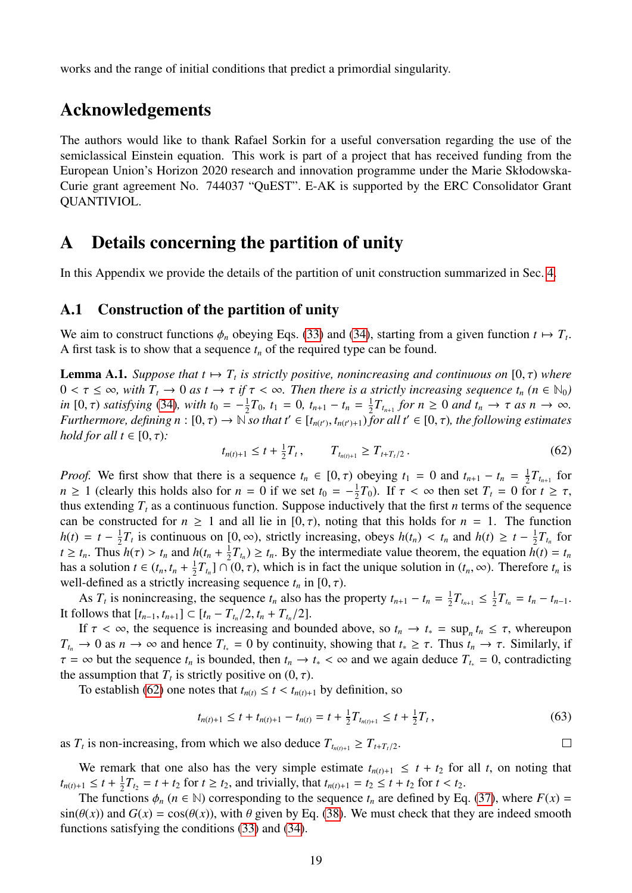works and the range of initial conditions that predict a primordial singularity.

## Acknowledgements

The authors would like to thank Rafael Sorkin for a useful conversation regarding the use of the semiclassical Einstein equation. This work is part of a project that has received funding from the European Union's Horizon 2020 research and innovation programme under the Marie Skłodowska-Curie grant agreement No. 744037 "QuEST". E-AK is supported by the ERC Consolidator Grant QUANTIVIOL.

## <span id="page-18-0"></span>A Details concerning the partition of unity

In this Appendix we provide the details of the partition of unit construction summarized in Sec. [4.](#page-8-1)

#### <span id="page-18-1"></span>A.1 Construction of the partition of unity

We aim to construct functions  $\phi_n$  obeying Eqs. [\(33\)](#page-9-3) and [\(34\)](#page-9-4), starting from a given function  $t \mapsto T_t$ .<br>A first task is to show that a sequence t, of the required type can be found A first task is to show that a sequence *t<sup>n</sup>* of the required type can be found.

**Lemma A.1.** *Suppose that*  $t \mapsto T_t$  *is strictly positive, nonincreasing and continuous on*  $[0, \tau)$  *where*  $0 \le \tau \le \infty$  *with*  $T \to 0$  *as*  $t \to \tau$  *if*  $\tau \le \infty$ . Then there is a strictly increasing sequence t. ( $n \in \$  $0 < \tau \leq \infty$ , with  $T_t \to 0$  as  $t \to \tau$  if  $\tau < \infty$ . Then there is a strictly increasing sequence  $t_n$  ( $n \in \mathbb{N}_0$ ) *in* [0,  $\tau$ ) *satisfying* [\(34\)](#page-9-4)*, with*  $t_0 = -\frac{1}{2}$ <br>*Furthermore, defining*  $n : [0, \tau) \rightarrow \mathbb{N}$  $\frac{1}{2}T_0$ ,  $t_1 = 0$ ,  $t_{n+1} - t_n = \frac{1}{2}$  $\frac{1}{2}T_{t_{n+1}}$  for  $n \geq 0$  and  $t_n \to \tau$  as  $n \to \infty$ .<br>for all  $t' \in [0, \tau)$  the following estimates *Furthermore, defining*  $n : [0, \tau) \to \mathbb{N}$  *so that*  $t' \in [t_{n(t')}, t_{n(t')+1})$  *for all*  $t' \in [0, \tau)$ *, the following estimates* hold for all  $t \in [0, \tau)$ *, hold for all t*  $\in$  [0,  $\tau$ )*:* 

<span id="page-18-2"></span>
$$
t_{n(t)+1} \leq t + \frac{1}{2}T_t, \qquad T_{t_{n(t)+1}} \geq T_{t+T_t/2}.
$$
\n(62)

*Proof.* We first show that there is a sequence  $t_n \in [0, \tau)$  obeying  $t_1 = 0$  and  $t_{n+1} - t_n = \frac{1}{2}$ <br> $n > 1$  (clearly this holds also for  $n = 0$  if we set  $t_0 = -\frac{1}{2}T_0$ ). If  $\tau < \infty$  then set  $T_0 = 0$  for  $\frac{1}{2}T_{t_{n+1}}$  for  $n \ge 1$  (clearly this holds also for  $n = 0$  if we set  $t_0 = -\frac{1}{2}$  $\frac{1}{2}T_0$ ). If  $\tau < \infty$  then set  $T_t = 0$  for  $t \geq \tau$ , thus extending  $T_t$  as a continuous function. Suppose inductively that the first *n* terms of the sequence can be constructed for  $n \ge 1$  and all lie in  $[0, \tau)$ , noting that this holds for  $n = 1$ . The function  $h(t) = t - \frac{1}{2}$  $\frac{1}{2}T_t$  is continuous on  $[0, \infty)$ , strictly increasing, obeys  $h(t_n) < t_n$  and  $h(t) \ge t - \frac{1}{2}$ <br>  $\frac{1}{2}h(\tau) > t_n$  and  $h(t + \frac{1}{2}T_n) > t$ . By the intermediate value theorem, the equation *h*  $\frac{1}{2}T_{t_n}$  for *t*  $\geq t_n$ . Thus  $h(\tau) > t_n$  and  $h(t_n + \frac{1}{2})$  $\frac{1}{2}T_{t_n}$   $\geq t_n$ . By the intermediate value theorem, the equation  $h(t) = t_n$ has a solution  $t \in (t_n, t_n + \frac{1}{2})$ <br>well-defined as a strictly in  $\frac{1}{2}T_{t_n}$ ]  $\cap$  (0,  $\tau$ ), which is in fact the unique solution in  $(t_n, \infty)$ . Therefore  $t_n$  is norreasing sequence  $t_n$  in  $[0, \tau)$ well-defined as a strictly increasing sequence  $t_n$  in [0,  $\tau$ ).

As  $T_t$  is nonincreasing, the sequence  $t_n$  also has the property  $t_{n+1} - t_n = \frac{1}{2}$  $\frac{1}{2}T_{t_{n+1}} \leq \frac{1}{2}$  $\frac{1}{2}T_{t_n} = t_n - t_{n-1}.$ It follows that  $[t_{n-1}, t_{n+1}] \subset [t_n - T_{t_n}/2, t_n + T_{t_n}/2].$ <br>If  $\tau < \infty$  the sequence is increasing and bound

If  $\tau < \infty$ , the sequence is increasing and bounded above, so  $t_n \to t_* = \sup_n t_n \le \tau$ , whereupon  $\Rightarrow 0$  as  $n \to \infty$  and hence  $T = 0$  by continuity showing that  $t > \tau$ . Thus  $t \to \tau$ , Similarly if  $T_{t_n} \to 0$  as  $n \to \infty$  and hence  $T_{t_n} = 0$  by continuity, showing that  $t_* \geq \tau$ . Thus  $t_n \to \tau$ . Similarly, if  $\tau = \infty$  but the sequence  $t_n$  is bounded, then  $t_n \to t_* < \infty$  and we again deduce  $T_{t_*} = 0$ , contradicting the assumption that  $T_t$  is strictly positive on  $(0, \tau)$ .<br>To establish  $(62)$  one notes that  $t \ge \tau \le t$ .

To establish [\(62\)](#page-18-2) one notes that  $t_{n(t)} \leq t < t_{n(t)+1}$  by definition, so

$$
t_{n(t)+1} \leq t + t_{n(t)+1} - t_{n(t)} = t + \frac{1}{2}T_{t_{n(t)+1}} \leq t + \frac{1}{2}T_t,
$$
\n
$$
(63)
$$

 $\Box$ 

as  $T_t$  is non-increasing, from which we also deduce  $T_{t_{n(t)+1}} \geq T_{t+T_t/2}$ .

We remark that one also has the very simple estimate  $t_{n(t)+1} \leq t + t_2$  for all *t*, on noting that  $t_{n(t)+1} \leq t + \frac{1}{2}$  $\frac{1}{2}T_{t_2} = t + t_2$  for  $t \ge t_2$ , and trivially, that  $t_{n(t)+1} = t_2 \le t + t_2$  for  $t < t_2$ .<br>
ctions  $\phi$  ( $n \in \mathbb{N}$ ) corresponding to the sequence *t* are defined by Eq.

The functions  $\phi_n$  ( $n \in \mathbb{N}$ ) corresponding to the sequence  $t_n$  are defined by Eq. [\(37\)](#page-9-5), where  $F(x) =$  $sin(\theta(x))$  and  $G(x) = cos(\theta(x))$ , with  $\theta$  given by Eq. [\(38\)](#page-9-1). We must check that they are indeed smooth functions satisfying the conditions [\(33\)](#page-9-3) and [\(34\)](#page-9-4).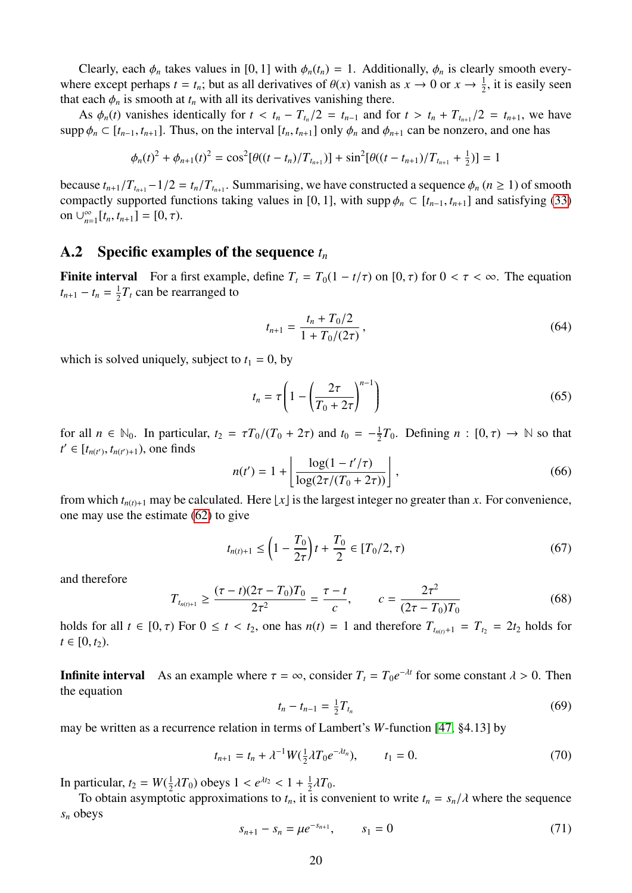Clearly, each  $\phi_n$  takes values in [0, 1] with  $\phi_n(t_n) = 1$ . Additionally,  $\phi_n$  is clearly smooth everywhere except perhaps  $t = t_n$ ; but as all derivatives of  $\theta(x)$  vanish as  $x \to 0$  or  $x \to \frac{1}{2}$ , it is easily seen<br>that each  $\phi$  is smooth at *t*, with all its derivatives vanishing there that each  $\phi_n$  is smooth at  $t_n$  with all its derivatives vanishing there.

As  $\phi_n(t)$  vanishes identically for  $t < t_n - T_{t_n}/2 = t_{n-1}$  and for  $t > t_n + T_{t_{n+1}}/2 = t_{n+1}$ , we have supp  $\phi_n \subset [t_{n-1}, t_{n+1}]$ . Thus, on the interval  $[t_n, t_{n+1}]$  only  $\phi_n$  and  $\phi_{n+1}$  can be nonzero, and one has

$$
\phi_n(t)^2 + \phi_{n+1}(t)^2 = \cos^2[\theta((t - t_n)/T_{t_{n+1}})] + \sin^2[\theta((t - t_{n+1})/T_{t_{n+1}} + \frac{1}{2})] = 1
$$

because  $t_{n+1}/T_{t_{n+1}} - 1/2 = t_n/T_{t_{n+1}}$ . Summarising, we have constructed a sequence  $\phi_n$  ( $n \ge 1$ ) of smooth compactly supported functions taking values in [0, 11] with support  $C$  [ $t \ge t$ ] and satisfying (33) compactly supported functions taking values in [0, 1], with supp  $\phi_n \subset [t_{n-1}, t_{n+1}]$  and satisfying [\(33\)](#page-9-3) on ∪ $_{n=0}^{\infty}$  $\sum_{n=1}^{\infty} [t_n, t_{n+1}] = [0, \tau).$ 

#### <span id="page-19-0"></span>A.2 Specific examples of the sequence *t<sup>n</sup>*

**Finite interval** For a first example, define  $T_t = T_0(1 - t/\tau)$  on  $[0, \tau)$  for  $0 < \tau < \infty$ . The equation  $t_{n+1} - t_n = \frac{1}{2}$  $\frac{1}{2}T_t$  can be rearranged to

<span id="page-19-2"></span>
$$
t_{n+1} = \frac{t_n + T_0/2}{1 + T_0/(2\tau)},
$$
\n(64)

which is solved uniquely, subject to  $t_1 = 0$ , by

$$
t_n = \tau \left( 1 - \left( \frac{2\tau}{T_0 + 2\tau} \right)^{n-1} \right) \tag{65}
$$

for all  $n \in \mathbb{N}_0$ . In particular,  $t_2 = \tau T_0/(T_0 + 2\tau)$  and  $t_0 = -\frac{1}{2}$ <br> $t' \in [t_{\text{old}}, t_{\text{old}}]$  one finds  $\frac{1}{2}T_0$ . Defining  $n : [0, \tau) \to \mathbb{N}$  so that  $t' \in [t_{n(t')}, t_{n(t')+1}),$  one finds

$$
n(t') = 1 + \left\lfloor \frac{\log(1 - t'/\tau)}{\log(2\tau/(T_0 + 2\tau))} \right\rfloor,
$$
\n(66)

from which  $t_{n(t)+1}$  may be calculated. Here  $\lfloor x \rfloor$  is the largest integer no greater than *x*. For convenience, one may use the estimate [\(62\)](#page-18-2) to give

$$
t_{n(t)+1} \le \left(1 - \frac{T_0}{2\tau}\right)t + \frac{T_0}{2} \in [T_0/2, \tau)
$$
\n(67)

and therefore

<span id="page-19-3"></span>
$$
T_{t_{n(t)+1}} \ge \frac{(\tau - t)(2\tau - T_0)T_0}{2\tau^2} = \frac{\tau - t}{c}, \qquad c = \frac{2\tau^2}{(2\tau - T_0)T_0}
$$
(68)

holds for all  $t \in [0, \tau)$  For  $0 \le t < t_2$ , one has  $n(t) = 1$  and therefore  $T_{t_{n(t)}+1} = T_{t_2} = 2t_2$  holds for  $t \in [0, t_2)$  $t \in [0, t_2)$ .

**Infinite interval** As an example where  $\tau = \infty$ , consider  $T_t = T_0 e^{-\lambda t}$  for some constant  $\lambda > 0$ . Then the equation the equation

$$
t_n - t_{n-1} = \frac{1}{2} T_{t_n} \tag{69}
$$

may be written as a recurrence relation in terms of Lambert's *W*-function [\[47,](#page-27-12) §4.13] by

$$
t_{n+1} = t_n + \lambda^{-1} W(\tfrac{1}{2}\lambda T_0 e^{-\lambda t_n}), \qquad t_1 = 0.
$$
 (70)

In particular,  $t_2 = W(\frac{1}{2})$  $\frac{1}{2}\lambda T_0$ ) obeys  $1 < e^{\lambda t_2} < 1 + \frac{1}{2}$ <br>other approximations to the it is  $rac{1}{2}\lambda T_0$ .

<span id="page-19-1"></span>To obtain asymptotic approximations to  $t_n$ , it is convenient to write  $t_n = s_n/\lambda$  where the sequence *s<sup>n</sup>* obeys

$$
s_{n+1} - s_n = \mu e^{-s_{n+1}}, \qquad s_1 = 0 \tag{71}
$$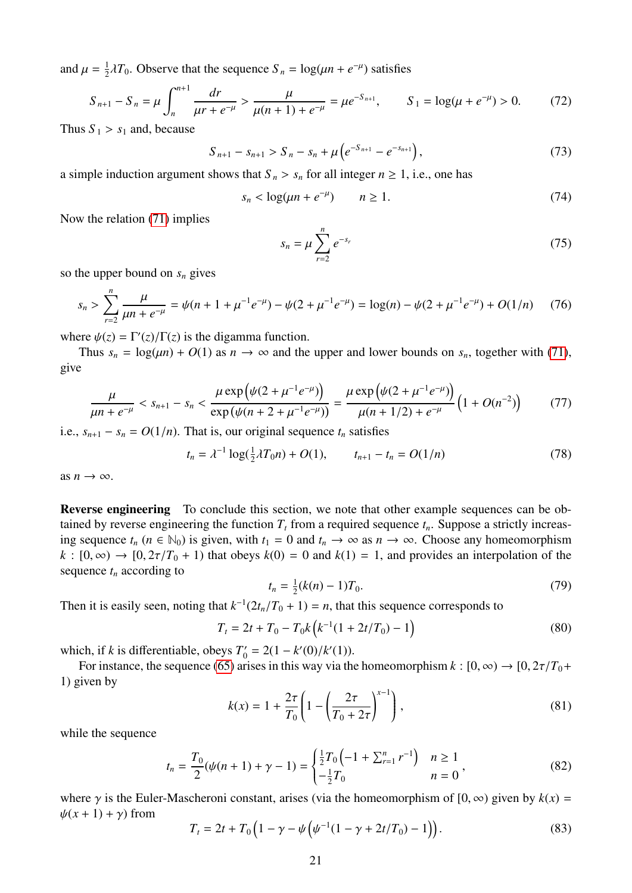and  $\mu = \frac{1}{2}$  $\frac{1}{2}\lambda T_0$ . Observe that the sequence  $S_n = \log(\mu n + e^{-\mu})$  satisfies

$$
S_{n+1} - S_n = \mu \int_n^{n+1} \frac{dr}{\mu r + e^{-\mu}} > \frac{\mu}{\mu (n+1) + e^{-\mu}} = \mu e^{-S_{n+1}}, \qquad S_1 = \log(\mu + e^{-\mu}) > 0. \tag{72}
$$

Thus  $S_1 > s_1$  and, because

$$
S_{n+1} - s_{n+1} > S_n - s_n + \mu \left( e^{-S_{n+1}} - e^{-S_{n+1}} \right), \tag{73}
$$

a simple induction argument shows that  $S_n > s_n$  for all integer  $n \ge 1$ , i.e., one has

$$
s_n < \log(\mu n + e^{-\mu}) \qquad n \ge 1. \tag{74}
$$

Now the relation [\(71\)](#page-19-1) implies

$$
s_n = \mu \sum_{r=2}^n e^{-s_r}
$$
 (75)

so the upper bound on *s<sup>n</sup>* gives

$$
s_n > \sum_{r=2}^n \frac{\mu}{\mu n + e^{-\mu}} = \psi(n + 1 + \mu^{-1} e^{-\mu}) - \psi(2 + \mu^{-1} e^{-\mu}) = \log(n) - \psi(2 + \mu^{-1} e^{-\mu}) + O(1/n) \tag{76}
$$

where  $\psi(z) = \Gamma'(z)/\Gamma(z)$  is the digamma function.<br>Thus  $s = \log(\mu n) + O(1)$  as  $n \to \infty$  and the

Thus  $s_n = \log(\mu n) + O(1)$  as  $n \to \infty$  and the upper and lower bounds on  $s_n$ , together with [\(71\)](#page-19-1), give

$$
\frac{\mu}{\mu n + e^{-\mu}} < s_{n+1} - s_n < \frac{\mu \exp\left(\psi(2 + \mu^{-1}e^{-\mu})\right)}{\exp\left(\psi(n + 2 + \mu^{-1}e^{-\mu})\right)} = \frac{\mu \exp\left(\psi(2 + \mu^{-1}e^{-\mu})\right)}{\mu(n + 1/2) + e^{-\mu}} \left(1 + O(n^{-2})\right) \tag{77}
$$

i.e.,  $s_{n+1} - s_n = O(1/n)$ . That is, our original sequence  $t_n$  satisfies

$$
t_n = \lambda^{-1} \log(\frac{1}{2}\lambda T_0 n) + O(1), \qquad t_{n+1} - t_n = O(1/n) \tag{78}
$$

as  $n \to \infty$ .

Reverse engineering To conclude this section, we note that other example sequences can be obtained by reverse engineering the function  $T_t$  from a required sequence  $t_n$ . Suppose a strictly increasing sequence  $t_n$  ( $n \in \mathbb{N}_0$ ) is given, with  $t_1 = 0$  and  $t_n \to \infty$  as  $n \to \infty$ . Choose any homeomorphism  $k : [0, \infty) \rightarrow [0, 2\tau/T_0 + 1)$  that obeys  $k(0) = 0$  and  $k(1) = 1$ , and provides an interpolation of the sequence  $t_n$  according to

$$
t_n = \frac{1}{2}(k(n) - 1)T_0.
$$
\n(79)

Then it is easily seen, noting that  $k^{-1}(2t_n/T_0 + 1) = n$ , that this sequence corresponds to

<span id="page-20-0"></span>
$$
T_t = 2t + T_0 - T_0 k \left( k^{-1} (1 + 2t/T_0) - 1 \right)
$$
\n(80)

which, if *k* is differentiable, obeys  $T'_0 = 2(1 - k'(0)/k'(1))$ .<br>For instance, the sequence (65) arises in this way via the

For instance, the sequence [\(65\)](#page-19-2) arises in this way via the homeomorphism  $k : [0, \infty) \to [0, 2\tau/T_0 +$ 1) given by

$$
k(x) = 1 + \frac{2\tau}{T_0} \left( 1 - \left( \frac{2\tau}{T_0 + 2\tau} \right)^{x-1} \right),\tag{81}
$$

while the sequence

$$
t_n = \frac{T_0}{2}(\psi(n+1) + \gamma - 1) = \begin{cases} \frac{1}{2}T_0\left(-1 + \sum_{r=1}^n r^{-1}\right) & n \ge 1\\ -\frac{1}{2}T_0 & n = 0 \end{cases},\tag{82}
$$

where  $\gamma$  is the Euler-Mascheroni constant, arises (via the homeomorphism of [0,  $\infty$ ) given by  $k(x) =$  $\psi(x+1)+\gamma$ ) from

$$
T_t = 2t + T_0 \left( 1 - \gamma - \psi \left( \psi^{-1} (1 - \gamma + 2t/T_0) - 1 \right) \right). \tag{83}
$$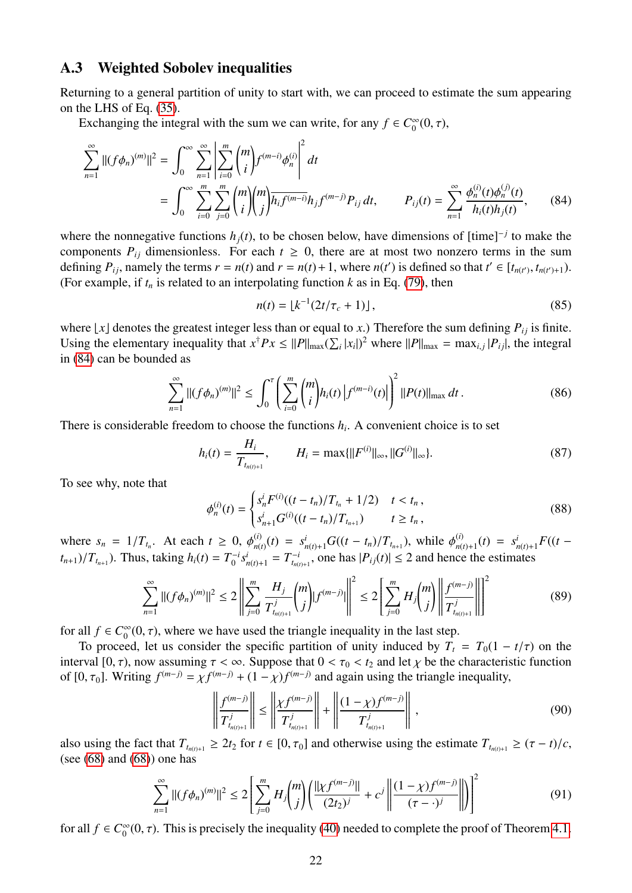#### <span id="page-21-0"></span>A.3 Weighted Sobolev inequalities

Returning to a general partition of unity to start with, we can proceed to estimate the sum appearing on the LHS of Eq. [\(35\)](#page-9-0).

Exchanging the integral with the sum we can write, for any  $f \in C_0^{\infty}$  $\int_{0}^{\infty}(0,\tau),$ 

$$
\sum_{n=1}^{\infty}||(f\phi_n)^{(m)}||^2 = \int_0^{\infty} \sum_{n=1}^{\infty} \left| \sum_{i=0}^m {m \choose i} f^{(m-i)} \phi_n^{(i)} \right|^2 dt
$$
  
= 
$$
\int_0^{\infty} \sum_{i=0}^m \sum_{j=0}^m {m \choose i} {m \choose j} \overline{h_i f^{(m-i)}} h_j f^{(m-j)} P_{ij} dt, \qquad P_{ij}(t) = \sum_{n=1}^{\infty} \frac{\phi_n^{(i)}(t) \phi_n^{(j)}(t)}{h_i(t) h_j(t)},
$$
(84)

where the nonnegative functions  $h_j(t)$ , to be chosen below, have dimensions of  $[\text{time}]^{-j}$  to make the components  $P_{ij}$  dimensionless. For each  $t \geq 0$ , there are at most two nonzero terms in the sum defining  $P_{ij}$ , namely the terms  $r = n(t)$  and  $r = n(t) + 1$ , where  $n(t')$  is defined so that  $t' \in [t_{n(t')}, t_{n(t')+1})$ .<br>(For example, if t is related to an interpolating function k as in Eq. (79), then (For example, if  $t_n$  is related to an interpolating function  $k$  as in Eq. [\(79\)](#page-20-0), then

<span id="page-21-1"></span>
$$
n(t) = \lfloor k^{-1} (2t/\tau_c + 1) \rfloor, \tag{85}
$$

where  $\lfloor x \rfloor$  denotes the greatest integer less than or equal to *x*.) Therefore the sum defining  $P_{ij}$  is finite. Using the elementary inequality that  $x^{\dagger}Px \leq ||P||_{\max}(\sum_i |x_i|)^2$  where  $||P||_{\max} = \max_{i,j} |P_{ij}|$ , the integral in (84) are halo have deduced in [\(84\)](#page-21-1) can be bounded as

$$
\sum_{n=1}^{\infty} ||(f\phi_n)^{(m)}||^2 \le \int_0^{\tau} \left(\sum_{i=0}^m \binom{m}{i} h_i(t) \left| f^{(m-i)}(t) \right| \right)^2 ||P(t)||_{\max} dt. \tag{86}
$$

There is considerable freedom to choose the functions  $h_i$ . A convenient choice is to set

$$
h_i(t) = \frac{H_i}{T_{t_{n(t)+1}}}, \qquad H_i = \max\{\|F^{(i)}\|_{\infty}, \|G^{(i)}\|_{\infty}\}.
$$
\n(87)

To see why, note that

$$
\phi_n^{(i)}(t) = \begin{cases} s_n^i F^{(i)}((t - t_n)/T_{t_n} + 1/2) & t < t_n, \\ s_{n+1}^i G^{(i)}((t - t_n)/T_{t_{n+1}}) & t \ge t_n, \end{cases} \tag{88}
$$

where  $s_n = 1/T_{t_n}$ . At each  $t \ge 0$ ,  $\phi_{n(t)}^{(i)}$  $\phi_{n(t)}^{(i)}(t) = s_{n(t)+1}^i G((t - t_n)/T_{t_{n+1}})$ , while  $\phi_{n(t)}^{(i)}(t)$  $S_{n(t)+1}^{(i)}(t) = S_n^i$  $F_{n(t)+1}$  $F((t (t_{n+1})/T_{t_{n+1}}$ ). Thus, taking  $h_i(t) = T_0^{-i}$  $T_0^{-i} s_{n(t)+1}^i = T_{t_{n(t)+1}}^{-i}$ , one has  $|P_{ij}(t)| \le 2$  and hence the estimates

$$
\sum_{n=1}^{\infty} ||(f\phi_n)^{(m)}||^2 \le 2 \left\| \sum_{j=0}^m \frac{H_j}{T_{t_{n(j)+1}}^j} {m \choose j} |f^{(m-j)}|| \right\|^2 \le 2 \left[ \sum_{j=0}^m H_j {m \choose j} \left\| \frac{f^{(m-j)}}{T_{t_{n(j)+1}}^j} \right\|^2 \right] \tag{89}
$$

for all  $f \in C_0^\infty$  $\int_{0}^{\infty}(0, \tau)$ , where we have used the triangle inequality in the last step.<br>ed. let us consider the specific partition of unity induced by  $T_c$ .

To proceed, let us consider the specific partition of unity induced by  $T_t = T_0(1 - t/\tau)$  on the interval [0,  $\tau$ ), now assuming  $\tau < \infty$ . Suppose that  $0 < \tau_0 < t_2$  and let  $\chi$  be the characteristic function of  $[0, \tau_0]$ . Writing  $f^{(m-j)} = \chi f^{(m-j)} + (1 - \chi) f^{(m-j)}$  and again using the triangle inequality,

$$
\left\| \frac{f^{(m-j)}}{T_{t_{n(j)+1}}^j} \right\| \le \left\| \frac{\chi f^{(m-j)}}{T_{t_{n(j)+1}}^j} \right\| + \left\| \frac{(1-\chi)f^{(m-j)}}{T_{t_{n(j)+1}}^j} \right\|,
$$
\n(90)

also using the fact that  $T_{t_{n(t)+1}} \geq 2t_2$  for  $t \in [0, \tau_0]$  and otherwise using the estimate  $T_{t_{n(t)+1}} \geq (\tau - t)/c$ , (see  $(68)$  and  $(68)$ ) one has

$$
\sum_{n=1}^{\infty} ||(f\phi_n)^{(m)}||^2 \le 2\left[\sum_{j=0}^m H_j\binom{m}{j}\left(\frac{||\chi f^{(m-j)}||}{(2t_2)^j} + c^j \left\|\frac{(1-\chi)f^{(m-j)}}{(\tau-\cdot)^j}\right\|\right)\right]^2\tag{91}
$$

for all  $f \in C_0^\infty$  $_{0}^{\infty}(0, \tau)$ . This is precisely the inequality [\(40\)](#page-11-1) needed to complete the proof of Theorem [4.1.](#page-11-4)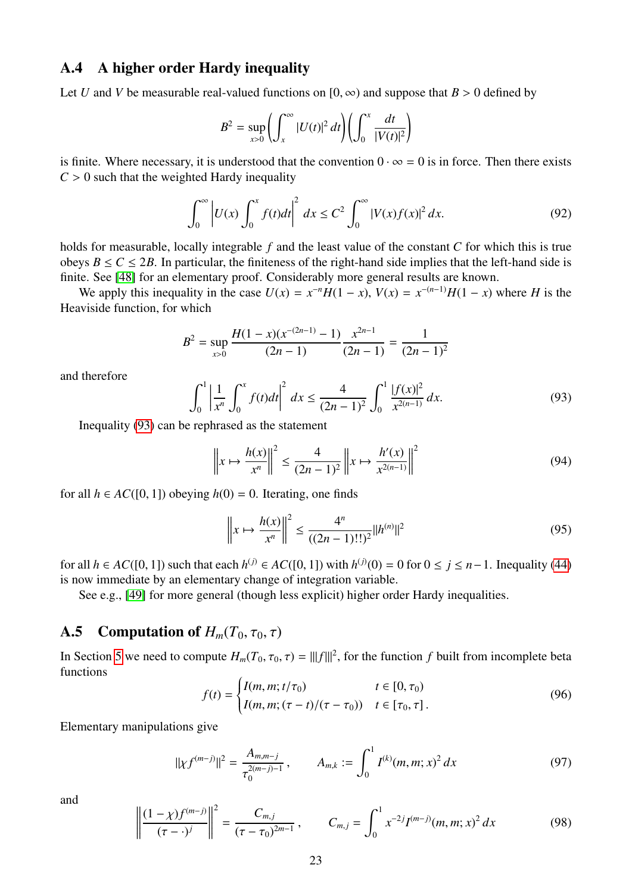#### <span id="page-22-0"></span>A.4 A higher order Hardy inequality

Let *U* and *V* be measurable real-valued functions on  $[0, \infty)$  and suppose that  $B > 0$  defined by

$$
B2 = \sup_{x>0} \left( \int_x^{\infty} |U(t)|^2 dt \right) \left( \int_0^x \frac{dt}{|V(t)|^2} \right)
$$

is finite. Where necessary, it is understood that the convention  $0 \cdot \infty = 0$  is in force. Then there exists  $C > 0$  such that the weighted Hardy inequality

$$
\int_0^{\infty} \left| U(x) \int_0^x f(t) dt \right|^2 dx \le C^2 \int_0^{\infty} |V(x)f(x)|^2 dx.
$$
 (92)

holds for measurable, locally integrable *f* and the least value of the constant *C* for which this is true obeys  $B \le C \le 2B$ . In particular, the finiteness of the right-hand side implies that the left-hand side is finite. See [\[48\]](#page-27-13) for an elementary proof. Considerably more general results are known.

We apply this inequality in the case  $U(x) = x^{-n}H(1-x)$ ,  $V(x) = x^{-(n-1)}H(1-x)$  where *H* is the Heaviside function, for which

$$
B^{2} = \sup_{x>0} \frac{H(1-x)(x^{-(2n-1)} - 1)}{(2n-1)} \frac{x^{2n-1}}{(2n-1)} = \frac{1}{(2n-1)^{2}}
$$

and therefore

<span id="page-22-3"></span>
$$
\int_0^1 \left| \frac{1}{x^n} \int_0^x f(t) dt \right|^2 dx \le \frac{4}{(2n-1)^2} \int_0^1 \frac{|f(x)|^2}{x^{2(n-1)}} dx.
$$
 (93)

Inequality [\(93\)](#page-22-3) can be rephrased as the statement

$$
\left\| x \mapsto \frac{h(x)}{x^n} \right\|^2 \le \frac{4}{(2n-1)^2} \left\| x \mapsto \frac{h'(x)}{x^{2(n-1)}} \right\|^2 \tag{94}
$$

for all  $h \in AC([0, 1])$  obeying  $h(0) = 0$ . Iterating, one finds

$$
\left\| x \mapsto \frac{h(x)}{x^n} \right\|^2 \le \frac{4^n}{((2n-1)!!)^2} \|h^{(n)}\|^2 \tag{95}
$$

for all *h* ∈ *AC*([0, 1]) such that each *h*<sup>(*j*)</sup> ∈ *AC*([0, 1]) with *h*<sup>(*j*)</sup>(0) = 0 for 0 ≤ *j* ≤ *n*−1. Inequality [\(44\)](#page-11-5) is now immediate by an elementary change of integration variable is now immediate by an elementary change of integration variable.

See e.g., [\[49\]](#page-27-14) for more general (though less explicit) higher order Hardy inequalities.

#### <span id="page-22-2"></span>A.5 Computation of  $H_m(T_0, \tau_0, \tau)$

<span id="page-22-1"></span>In Section [5](#page-11-0) we need to compute  $H_m(T_0, \tau_0, \tau) = |||f|||^2$ , for the function *f* built from incomplete beta functions functions

$$
f(t) = \begin{cases} I(m, m; t/\tau_0) & t \in [0, \tau_0) \\ I(m, m; (\tau - t)/(\tau - \tau_0)) & t \in [\tau_0, \tau]. \end{cases}
$$
(96)

Elementary manipulations give

$$
\|\chi f^{(m-j)}\|^2 = \frac{A_{m,m-j}}{\tau_0^{2(m-j)-1}}, \qquad A_{m,k} := \int_0^1 I^{(k)}(m,m;x)^2 dx \tag{97}
$$

and

$$
\left\| \frac{(1 - \chi)f^{(m-j)}}{(\tau - \cdot)^j} \right\|^2 = \frac{C_{m,j}}{(\tau - \tau_0)^{2m-1}}, \qquad C_{m,j} = \int_0^1 x^{-2j} I^{(m-j)}(m, m; x)^2 dx \tag{98}
$$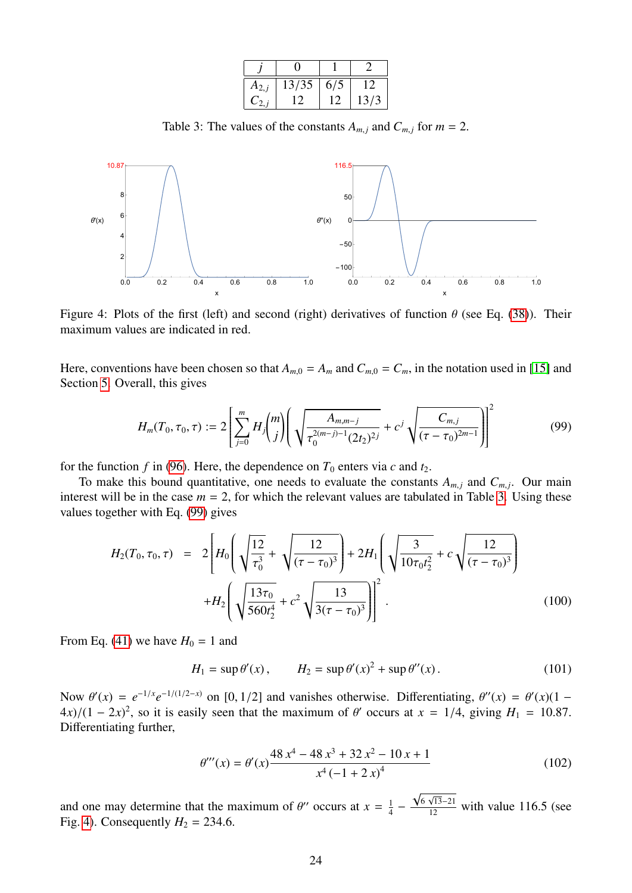| $A_{2,i}$ | 13/35 | 6/5 | 12   |  |
|-----------|-------|-----|------|--|
| $C_{2,j}$ | 12    | 12  | 13/3 |  |
|           |       |     |      |  |

Table 3: The values of the constants  $A_{m,j}$  and  $C_{m,j}$  for  $m = 2$ .

<span id="page-23-2"></span><span id="page-23-1"></span>

Figure 4: Plots of the first (left) and second (right) derivatives of function  $\theta$  (see Eq. [\(38\)](#page-9-1)). Their maximum values are indicated in red.

Here, conventions have been chosen so that  $A_{m,0} = A_m$  and  $C_{m,0} = C_m$ , in the notation used in [\[15\]](#page-25-14) and Section [5.](#page-11-0) Overall, this gives

<span id="page-23-0"></span>
$$
H_m(T_0, \tau_0, \tau) := 2 \left[ \sum_{j=0}^m H_j \binom{m}{j} \left( \sqrt{\frac{A_{m, m-j}}{\tau_0^{2(m-j)-1} (2t_2)^{2j}}} + c^j \sqrt{\frac{C_{m, j}}{(\tau - \tau_0)^{2m-1}}} \right) \right]^2 \tag{99}
$$

for the function  $f$  in [\(96\)](#page-22-1). Here, the dependence on  $T_0$  enters via  $c$  and  $t_2$ .

To make this bound quantitative, one needs to evaluate the constants  $A_{m,j}$  and  $C_{m,j}$ . Our main interest will be in the case  $m = 2$ , for which the relevant values are tabulated in Table [3.](#page-23-1) Using these values together with Eq. [\(99\)](#page-23-0) gives

$$
H_2(T_0, \tau_0, \tau) = 2 \left[ H_0 \left( \sqrt{\frac{12}{\tau_0^3}} + \sqrt{\frac{12}{(\tau - \tau_0)^3}} \right) + 2H_1 \left( \sqrt{\frac{3}{10\tau_0 t_2^2}} + c \sqrt{\frac{12}{(\tau - \tau_0)^3}} \right) + H_2 \left( \sqrt{\frac{13\tau_0}{560t_2^4}} + c^2 \sqrt{\frac{13}{3(\tau - \tau_0)^3}} \right) \right]^2.
$$
 (100)

From Eq. [\(41\)](#page-11-6) we have  $H_0 = 1$  and

$$
H_1 = \sup \theta'(x), \qquad H_2 = \sup \theta'(x)^2 + \sup \theta''(x).
$$
 (101)

Now  $\theta'(x) = e^{-1/x} e^{-1/(1/2-x)}$  on [0, 1/2] and vanishes otherwise. Differentiating,  $\theta''(x) = \theta'(x)(1 - 4x)/(1 - 2x)^2$  so it is easily seen that the maximum of  $\theta'$  occurs at  $x = 1/4$  giving  $H = 10.87$  $4x$ /(1 − 2*x*)<sup>2</sup>, so it is easily seen that the maximum of  $\theta'$  occurs at  $x = 1/4$ , giving  $H_1 = 10.87$ . Differentiating further,

$$
\theta'''(x) = \theta'(x) \frac{48 x^4 - 48 x^3 + 32 x^2 - 10 x + 1}{x^4 (-1 + 2 x)^4}
$$
\n(102)

√

and one may determine that the maximum of  $\theta''$  occurs at  $x = \frac{1}{4}$ <br>Fig. 4) Consequently  $H_2 = 234.6$  $rac{1}{4}$  –  $\frac{6\sqrt{13}-21}{12}$  with value 116.5 (see Fig. [4\)](#page-23-2). Consequently  $H_2 = 234.6$ .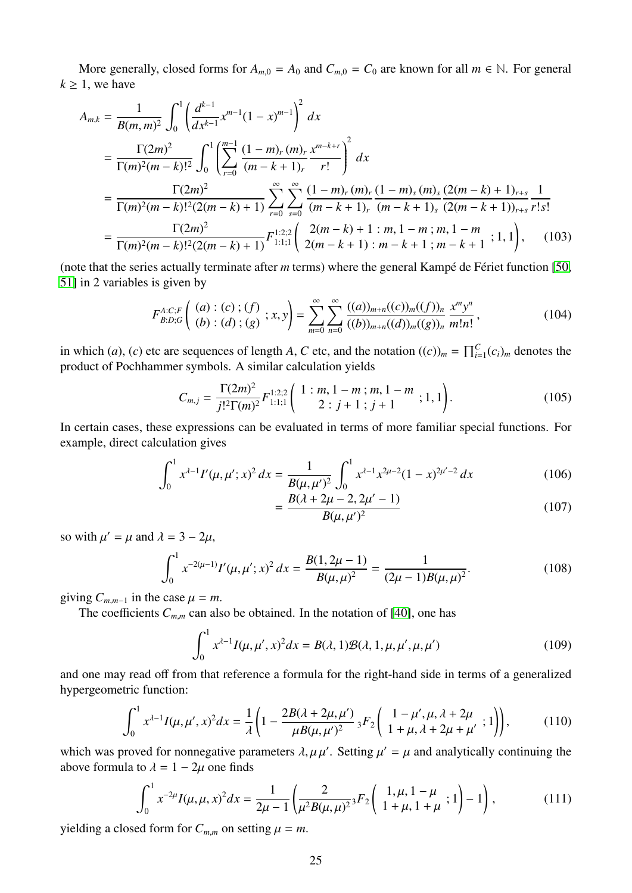More generally, closed forms for  $A_{m,0} = A_0$  and  $C_{m,0} = C_0$  are known for all  $m \in \mathbb{N}$ . For general  $k \geq 1$ , we have

$$
A_{m,k} = \frac{1}{B(m,m)^2} \int_0^1 \left(\frac{d^{k-1}}{dx^{k-1}} x^{m-1} (1-x)^{m-1}\right)^2 dx
$$
  
\n
$$
= \frac{\Gamma(2m)^2}{\Gamma(m)^2 (m-k)!^2} \int_0^1 \left(\sum_{r=0}^{m-1} \frac{(1-m)_r (m)_r x^{m-k+r}}{(m-k+1)_r} \right)^2 dx
$$
  
\n
$$
= \frac{\Gamma(2m)^2}{\Gamma(m)^2 (m-k)!^2 (2(m-k)+1)} \sum_{r=0}^{\infty} \sum_{s=0}^{\infty} \frac{(1-m)_r (m)_r (1-m)_s (m)_s (2(m-k+1)_{r+s} \frac{1}{r! s!})}{(m-k+1)_r (m-k+1)_s (2(m-k+1))_{r+s} \frac{1}{r! s!}
$$
  
\n
$$
= \frac{\Gamma(2m)^2}{\Gamma(m)^2 (m-k)!^2 (2(m-k)+1)} F_{1:1;1}^{1:2;2} \left(\frac{2(m-k)+1:m, 1-m; m, 1-m}{2(m-k+1): m-k+1; m-k+1; 1, 1}\right), \quad (103)
$$

(note that the series actually terminate after  $m$  terms) where the general Kampé de Fériet function [\[50,](#page-27-15) [51\]](#page-27-16) in 2 variables is given by

$$
F_{B:D;G}^{A:C;F}\left(\begin{array}{c} (a):(c):(f) \\ (b):(d):(g) \end{array};x,y\right)=\sum_{m=0}^{\infty}\sum_{n=0}^{\infty}\frac{((a))_{m+n}((c))_{m}((f))_{n}}{((b))_{m+n}((d))_{m}((g))_{n}}\frac{x^{m}y^{n}}{m!n!},\qquad(104)
$$

in which (*a*), (*c*) etc are sequences of length *A*, *C* etc, and the notation  $((c))_m = \prod_{i=1}^{C} (c_i)_m$  denotes the product of Pochhammer symbols. A similar calculation yields

$$
C_{m,j} = \frac{\Gamma(2m)^2}{j!^2 \Gamma(m)^2} F_{1:1;1}^{1:2;2} \left( \begin{array}{c} 1:m, 1-m;m, 1-m; 1, 1 \\ 2:j+1; j+1 \end{array}; 1, 1 \right). \tag{105}
$$

In certain cases, these expressions can be evaluated in terms of more familiar special functions. For example, direct calculation gives

$$
\int_0^1 x^{\lambda - 1} I'(\mu, \mu'; x)^2 dx = \frac{1}{B(\mu, \mu')^2} \int_0^1 x^{\lambda - 1} x^{2\mu - 2} (1 - x)^{2\mu' - 2} dx
$$
(106)

$$
=\frac{B(\lambda+2\mu-2,2\mu'-1)}{B(\mu,\mu')^2}
$$
\n(107)

so with  $\mu' = \mu$  and  $\lambda = 3 - 2\mu$ ,

$$
\int_0^1 x^{-2(\mu-1)} I'(\mu, \mu'; x)^2 dx = \frac{B(1, 2\mu - 1)}{B(\mu, \mu)^2} = \frac{1}{(2\mu - 1)B(\mu, \mu)^2}.
$$
 (108)

giving  $C_{m,m-1}$  in the case  $\mu = m$ .

The coefficients  $C_{m,m}$  can also be obtained. In the notation of [\[40\]](#page-27-5), one has

$$
\int_0^1 x^{\lambda - 1} I(\mu, \mu', x)^2 dx = B(\lambda, 1)B(\lambda, 1, \mu, \mu', \mu, \mu')
$$
 (109)

and one may read off from that reference a formula for the right-hand side in terms of a generalized hypergeometric function:

$$
\int_0^1 x^{\lambda - 1} I(\mu, \mu', x)^2 dx = \frac{1}{\lambda} \left( 1 - \frac{2B(\lambda + 2\mu, \mu')}{\mu B(\mu, \mu')^2} {}_3F_2 \left( \frac{1 - \mu', \mu, \lambda + 2\mu}{1 + \mu, \lambda + 2\mu + \mu'}; 1 \right) \right), \tag{110}
$$

which was proved for nonnegative parameters  $\lambda, \mu \mu'$ . Setting  $\mu' = \mu$  and analytically continuing the above formula to  $\lambda = 1 - 2\mu$  one finds above formula to  $\lambda = 1 - 2\mu$  one finds

$$
\int_0^1 x^{-2\mu} I(\mu, \mu, x)^2 dx = \frac{1}{2\mu - 1} \left( \frac{2}{\mu^2 B(\mu, \mu)^2} {}_3F_2 \left( \begin{array}{c} 1, \mu, 1 - \mu \\ 1 + \mu, 1 + \mu \end{array}; 1 \right) - 1 \right), \tag{111}
$$

yielding a closed form for  $C_{m,m}$  on setting  $\mu = m$ .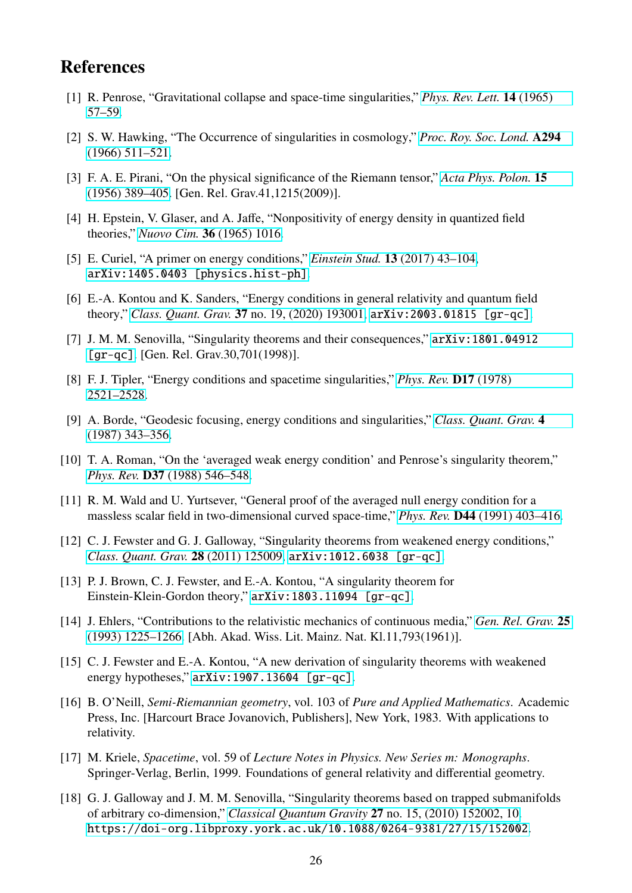# **References**

- <span id="page-25-0"></span>[1] R. Penrose, "Gravitational collapse and space-time singularities," *[Phys. Rev. Lett.](http://dx.doi.org/10.1103/PhysRevLett.14.57)* 14 (1965) [57–59.](http://dx.doi.org/10.1103/PhysRevLett.14.57)
- <span id="page-25-1"></span>[2] S. W. Hawking, "The Occurrence of singularities in cosmology," *[Proc. Roy. Soc. Lond.](http://dx.doi.org/10.1098/rspa.1966.0221)* A294 [\(1966\) 511–521.](http://dx.doi.org/10.1098/rspa.1966.0221)
- <span id="page-25-2"></span>[3] F. A. E. Pirani, "On the physical significance of the Riemann tensor," *[Acta Phys. Polon.](http://dx.doi.org/10.1007/s10714-009-0787-9)* 15 [\(1956\) 389–405.](http://dx.doi.org/10.1007/s10714-009-0787-9) [Gen. Rel. Grav.41,1215(2009)].
- <span id="page-25-3"></span>[4] H. Epstein, V. Glaser, and A. Jaffe, "Nonpositivity of energy density in quantized field theories," *Nuovo Cim.* 36 [\(1965\) 1016.](http://dx.doi.org/10.1007/BF02749799)
- <span id="page-25-4"></span>[5] E. Curiel, "A primer on energy conditions," *Einstein Stud.* 13 [\(2017\) 43–104,](http://dx.doi.org/10.1007/978-1-4939-3210-8_3) [arXiv:1405.0403 \[physics.hist-ph\]](http://arxiv.org/abs/1405.0403).
- <span id="page-25-5"></span>[6] E.-A. Kontou and K. Sanders, "Energy conditions in general relativity and quantum field theory," *Class. Quant. Grav.* 37 [no. 19, \(2020\) 193001,](http://dx.doi.org/10.1088/1361-6382/ab8fcf) [arXiv:2003.01815 \[gr-qc\]](http://arxiv.org/abs/2003.01815).
- <span id="page-25-6"></span>[7] J. M. M. Senovilla, "Singularity theorems and their consequences," [arXiv:1801.04912](http://arxiv.org/abs/1801.04912) [\[gr-qc\]](http://arxiv.org/abs/1801.04912). [Gen. Rel. Grav.30,701(1998)].
- <span id="page-25-7"></span>[8] F. J. Tipler, "Energy conditions and spacetime singularities," *[Phys. Rev.](http://dx.doi.org/10.1103/PhysRevD.17.2521)* D17 (1978) [2521–2528.](http://dx.doi.org/10.1103/PhysRevD.17.2521)
- <span id="page-25-8"></span>[9] A. Borde, "Geodesic focusing, energy conditions and singularities," *[Class. Quant. Grav.](http://dx.doi.org/10.1088/0264-9381/4/2/015)* 4 [\(1987\) 343–356.](http://dx.doi.org/10.1088/0264-9381/4/2/015)
- <span id="page-25-9"></span>[10] T. A. Roman, "On the 'averaged weak energy condition' and Penrose's singularity theorem," *Phys. Rev.* D37 [\(1988\) 546–548.](http://dx.doi.org/10.1103/PhysRevD.37.546)
- <span id="page-25-10"></span>[11] R. M. Wald and U. Yurtsever, "General proof of the averaged null energy condition for a massless scalar field in two-dimensional curved space-time," *Phys. Rev.* D44 [\(1991\) 403–416.](http://dx.doi.org/10.1103/PhysRevD.44.403)
- <span id="page-25-11"></span>[12] C. J. Fewster and G. J. Galloway, "Singularity theorems from weakened energy conditions," *[Class. Quant. Grav.](http://dx.doi.org/10.1088/0264-9381/28/12/125009)* 28 (2011) 125009, [arXiv:1012.6038 \[gr-qc\]](http://arxiv.org/abs/1012.6038).
- <span id="page-25-12"></span>[13] P. J. Brown, C. J. Fewster, and E.-A. Kontou, "A singularity theorem for Einstein-Klein-Gordon theory," [arXiv:1803.11094 \[gr-qc\]](http://arxiv.org/abs/1803.11094).
- <span id="page-25-13"></span>[14] J. Ehlers, "Contributions to the relativistic mechanics of continuous media," *[Gen. Rel. Grav.](http://dx.doi.org/10.1007/BF00759031)* 25 [\(1993\) 1225–1266.](http://dx.doi.org/10.1007/BF00759031) [Abh. Akad. Wiss. Lit. Mainz. Nat. Kl.11,793(1961)].
- <span id="page-25-14"></span>[15] C. J. Fewster and E.-A. Kontou, "A new derivation of singularity theorems with weakened energy hypotheses," [arXiv:1907.13604 \[gr-qc\]](http://arxiv.org/abs/1907.13604).
- <span id="page-25-15"></span>[16] B. O'Neill, *Semi-Riemannian geometry*, vol. 103 of *Pure and Applied Mathematics*. Academic Press, Inc. [Harcourt Brace Jovanovich, Publishers], New York, 1983. With applications to relativity.
- <span id="page-25-16"></span>[17] M. Kriele, *Spacetime*, vol. 59 of *Lecture Notes in Physics. New Series m: Monographs*. Springer-Verlag, Berlin, 1999. Foundations of general relativity and differential geometry.
- <span id="page-25-17"></span>[18] G. J. Galloway and J. M. M. Senovilla, "Singularity theorems based on trapped submanifolds of arbitrary co-dimension," *[Classical Quantum Gravity](http://dx.doi.org/10.1088/0264-9381/27/15/152002)* 27 no. 15, (2010) 152002, 10. <https://doi-org.libproxy.york.ac.uk/10.1088/0264-9381/27/15/152002>.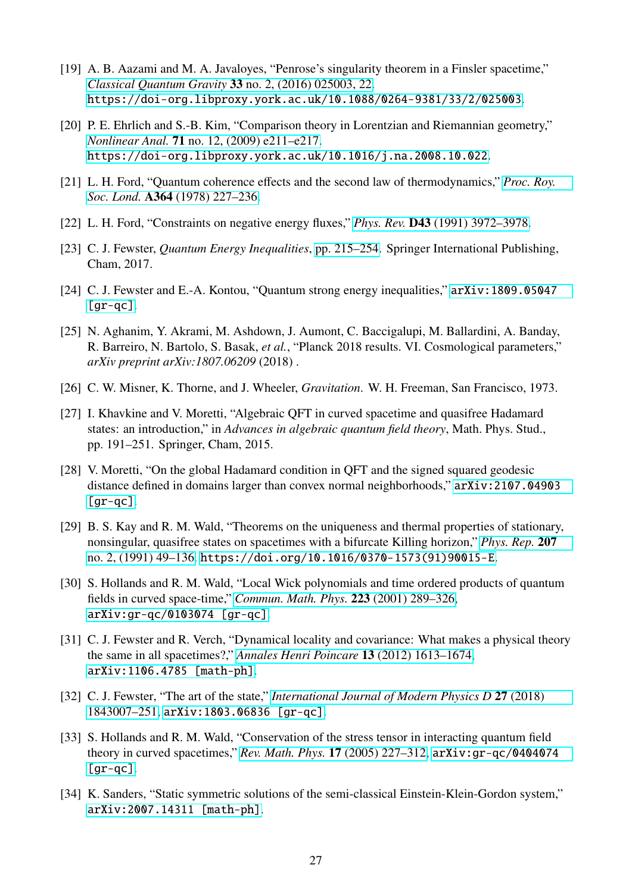- <span id="page-26-0"></span>[19] A. B. Aazami and M. A. Javaloyes, "Penrose's singularity theorem in a Finsler spacetime," *[Classical Quantum Gravity](http://dx.doi.org/10.1088/0264-9381/33/2/025003)* 33 no. 2, (2016) 025003, 22. <https://doi-org.libproxy.york.ac.uk/10.1088/0264-9381/33/2/025003>.
- <span id="page-26-1"></span>[20] P. E. Ehrlich and S.-B. Kim, "Comparison theory in Lorentzian and Riemannian geometry," *Nonlinear Anal.* 71 [no. 12, \(2009\) e211–e217.](http://dx.doi.org/10.1016/j.na.2008.10.022) <https://doi-org.libproxy.york.ac.uk/10.1016/j.na.2008.10.022>.
- <span id="page-26-2"></span>[21] L. H. Ford, "Quantum coherence effects and the second law of thermodynamics," *[Proc. Roy.](http://dx.doi.org/10.1098/rspa.1978.0197) Soc. Lond.* A364 [\(1978\) 227–236.](http://dx.doi.org/10.1098/rspa.1978.0197)
- <span id="page-26-3"></span>[22] L. H. Ford, "Constraints on negative energy fluxes," *Phys. Rev.* D43 [\(1991\) 3972–3978.](http://dx.doi.org/10.1103/PhysRevD.43.3972)
- <span id="page-26-4"></span>[23] C. J. Fewster, *Quantum Energy Inequalities*, [pp. 215–254.](http://dx.doi.org/10.1007/978-3-319-55182-1_10) Springer International Publishing, Cham, 2017.
- <span id="page-26-5"></span>[24] C. J. Fewster and E.-A. Kontou, "Quantum strong energy inequalities," [arXiv:1809.05047](http://arxiv.org/abs/1809.05047)  $[gr-qc]$ .
- <span id="page-26-6"></span>[25] N. Aghanim, Y. Akrami, M. Ashdown, J. Aumont, C. Baccigalupi, M. Ballardini, A. Banday, R. Barreiro, N. Bartolo, S. Basak, *et al.*, "Planck 2018 results. VI. Cosmological parameters," *arXiv preprint arXiv:1807.06209* (2018) .
- <span id="page-26-7"></span>[26] C. W. Misner, K. Thorne, and J. Wheeler, *Gravitation*. W. H. Freeman, San Francisco, 1973.
- <span id="page-26-8"></span>[27] I. Khavkine and V. Moretti, "Algebraic QFT in curved spacetime and quasifree Hadamard states: an introduction," in *Advances in algebraic quantum field theory*, Math. Phys. Stud., pp. 191–251. Springer, Cham, 2015.
- <span id="page-26-9"></span>[28] V. Moretti, "On the global Hadamard condition in QFT and the signed squared geodesic distance defined in domains larger than convex normal neighborhoods," [arXiv:2107.04903](http://arxiv.org/abs/2107.04903)  $[gr-qc]$ .
- <span id="page-26-10"></span>[29] B. S. Kay and R. M. Wald, "Theorems on the uniqueness and thermal properties of stationary, nonsingular, quasifree states on spacetimes with a bifurcate Killing horizon," *[Phys. Rep.](http://dx.doi.org/10.1016/0370-1573(91)90015-E)* 207 [no. 2, \(1991\) 49–136.](http://dx.doi.org/10.1016/0370-1573(91)90015-E) [https://doi.org/10.1016/0370-1573\(91\)90015-E](https://doi.org/10.1016/0370-1573(91)90015-E).
- <span id="page-26-11"></span>[30] S. Hollands and R. M. Wald, "Local Wick polynomials and time ordered products of quantum fields in curved space-time," *[Commun. Math. Phys.](http://dx.doi.org/10.1007/s002200100540)* 223 (2001) 289–326, [arXiv:gr-qc/0103074 \[gr-qc\]](http://arxiv.org/abs/gr-qc/0103074).
- <span id="page-26-12"></span>[31] C. J. Fewster and R. Verch, "Dynamical locality and covariance: What makes a physical theory the same in all spacetimes?," *[Annales Henri Poincare](http://dx.doi.org/10.1007/s00023-012-0165-0)* 13 (2012) 1613–1674, [arXiv:1106.4785 \[math-ph\]](http://arxiv.org/abs/1106.4785).
- <span id="page-26-13"></span>[32] C. J. Fewster, "The art of the state," *[International Journal of Modern Physics D](http://dx.doi.org/10.1142/S0218271818430071)* 27 (2018) [1843007–251,](http://dx.doi.org/10.1142/S0218271818430071) [arXiv:1803.06836 \[gr-qc\]](http://arxiv.org/abs/1803.06836).
- <span id="page-26-14"></span>[33] S. Hollands and R. M. Wald, "Conservation of the stress tensor in interacting quantum field theory in curved spacetimes," *[Rev. Math. Phys.](http://dx.doi.org/10.1142/S0129055X05002340)* 17 (2005) 227–312, [arXiv:gr-qc/0404074](http://arxiv.org/abs/gr-qc/0404074)  $\lceil$ gr-qc].
- <span id="page-26-15"></span>[34] K. Sanders, "Static symmetric solutions of the semi-classical Einstein-Klein-Gordon system," [arXiv:2007.14311 \[math-ph\]](http://arxiv.org/abs/2007.14311).